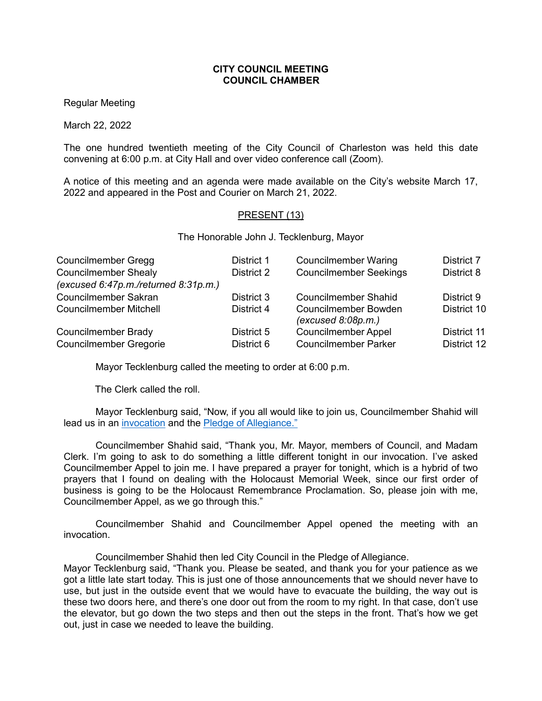## **CITY COUNCIL MEETING COUNCIL CHAMBER**

Regular Meeting

March 22, 2022

The one hundred twentieth meeting of the City Council of Charleston was held this date convening at 6:00 p.m. at City Hall and over video conference call (Zoom).

A notice of this meeting and an agenda were made available on the City's website March 17, 2022 and appeared in the Post and Courier on March 21, 2022.

## PRESENT (13)

The Honorable John J. Tecklenburg, Mayor

| Councilmember Gregg                  | District 1 | <b>Councilmember Waring</b>                       | District 7  |
|--------------------------------------|------------|---------------------------------------------------|-------------|
| <b>Councilmember Shealy</b>          | District 2 | <b>Councilmember Seekings</b>                     | District 8  |
| (excused 6:47p.m./returned 8:31p.m.) |            |                                                   |             |
| Councilmember Sakran                 | District 3 | <b>Councilmember Shahid</b>                       | District 9  |
| <b>Councilmember Mitchell</b>        | District 4 | <b>Councilmember Bowden</b><br>(excused 8:08p.m.) | District 10 |
| Councilmember Brady                  | District 5 | <b>Councilmember Appel</b>                        | District 11 |
| <b>Councilmember Gregorie</b>        | District 6 | <b>Councilmember Parker</b>                       | District 12 |

Mayor Tecklenburg called the meeting to order at 6:00 p.m.

The Clerk called the roll.

Mayor Tecklenburg said, "Now, if you all would like to join us, Councilmember Shahid will lead us in an [invocation](https://youtu.be/sTB0yK2IJ2Y?t=144) and the Pledge [of Allegiance."](https://youtu.be/sTB0yK2IJ2Y?t=144)

Councilmember Shahid said, "Thank you, Mr. Mayor, members of Council, and Madam Clerk. I'm going to ask to do something a little different tonight in our invocation. I've asked Councilmember Appel to join me. I have prepared a prayer for tonight, which is a hybrid of two prayers that I found on dealing with the Holocaust Memorial Week, since our first order of business is going to be the Holocaust Remembrance Proclamation. So, please join with me, Councilmember Appel, as we go through this."

Councilmember Shahid and Councilmember Appel opened the meeting with an invocation.

Councilmember Shahid then led City Council in the Pledge of Allegiance.

Mayor Tecklenburg said, "Thank you. Please be seated, and thank you for your patience as we got a little late start today. This is just one of those announcements that we should never have to use, but just in the outside event that we would have to evacuate the building, the way out is these two doors here, and there's one door out from the room to my right. In that case, don't use the elevator, but go down the two steps and then out the steps in the front. That's how we get out, just in case we needed to leave the building.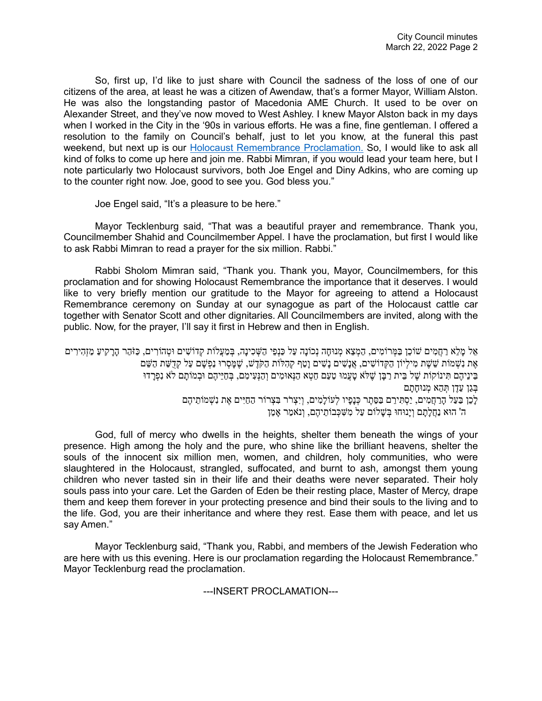So, first up, I'd like to just share with Council the sadness of the loss of one of our citizens of the area, at least he was a citizen of Awendaw, that's a former Mayor, William Alston. He was also the longstanding pastor of Macedonia AME Church. It used to be over on Alexander Street, and they've now moved to West Ashley. I knew Mayor Alston back in my days when I worked in the City in the '90s in various efforts. He was a fine, fine gentleman. I offered a resolution to the family on Council's behalf, just to let you know, at the funeral this past weekend, but next up is our [Holocaust Remembrance Proclamation.](https://youtu.be/sTB0yK2IJ2Y?t=382) So, I would like to ask all kind of folks to come up here and join me. Rabbi Mimran, if you would lead your team here, but I note particularly two Holocaust survivors, both Joe Engel and Diny Adkins, who are coming up to the counter right now. Joe, good to see you. God bless you."

Joe Engel said, "It's a pleasure to be here."

Mayor Tecklenburg said, "That was a beautiful prayer and remembrance. Thank you, Councilmember Shahid and Councilmember Appel. I have the proclamation, but first I would like to ask Rabbi Mimran to read a prayer for the six million. Rabbi."

Rabbi Sholom Mimran said, "Thank you. Thank you, Mayor, Councilmembers, for this proclamation and for showing Holocaust Remembrance the importance that it deserves. I would like to very briefly mention our gratitude to the Mayor for agreeing to attend a Holocaust Remembrance ceremony on Sunday at our synagogue as part of the Holocaust cattle car together with Senator Scott and other dignitaries. All Councilmembers are invited, along with the public. Now, for the prayer, I'll say it first in Hebrew and then in English.

אֵל מַלֵא רַחֲמִים שׁוֹכֵן בַּמְּרוֹמִים, הַמְצֵא מְנוּחָה נְכוֹנַה עַל כַּנְפֵי הַשְּׁכִינַה, בְּמַעֲלוֹת קְדוֹשִׁים וּטְהוֹרִים, כַּזֹּהֵר הָרַקִיעַ מַזְהִירִים אֶת נִשְׁמוֹת שֵׁשֶׁת מִילִיוֹן הַקְּדוֹשִׁים, אֲנַשִׁים נַשִׁים וַטַף קְהִלּוֹת הַקֹּדֵשׁ, שֵׁמַּסְרוּ נַפְשָׁם עַל קְדָשֵׁת הַשֵּׁם בִּינֵיהֶם תִּינוֹקוֹת שֵׁל בֵּית רַבֵּן שֵׁלֹּא טַעֲמוּ טַעַם חֵטְא הַנְּאוּמִים וְהַנְּעִימִם, בְּחַיֵּיהֶם וּבְמוֹתַם לֹא נִפְרַדוּ בְּגַן עֵדֶן חָהֶא מְנוּחָתָם לְכֵן בַּעַל הָרַחֲמִים, יַסְתִּירֵם בַּסֵּתֶר כְּנָפָיו לְעוֹלָמִים, וְיִצְרֹר בִּצְרוֹר הַחַיִּים אֶת נִשְׁמוֹתֵיהֵם ה' הוּא נַחֲלָתָ ם וְ יָנוּחוּ בְּ שָׁ לוֹם עַל מִ שִּׁ כְּ בוֹתֵ יהֶם, וְ נֹאמַ ר אָ מֵ ן

God, full of mercy who dwells in the heights, shelter them beneath the wings of your presence. High among the holy and the pure, who shine like the brilliant heavens, shelter the souls of the innocent six million men, women, and children, holy communities, who were slaughtered in the Holocaust, strangled, suffocated, and burnt to ash, amongst them young children who never tasted sin in their life and their deaths were never separated. Their holy souls pass into your care. Let the Garden of Eden be their resting place, Master of Mercy, drape them and keep them forever in your protecting presence and bind their souls to the living and to the life. God, you are their inheritance and where they rest. Ease them with peace, and let us say Amen."

Mayor Tecklenburg said, "Thank you, Rabbi, and members of the Jewish Federation who are here with us this evening. Here is our proclamation regarding the Holocaust Remembrance." Mayor Tecklenburg read the proclamation.

---INSERT PROCLAMATION---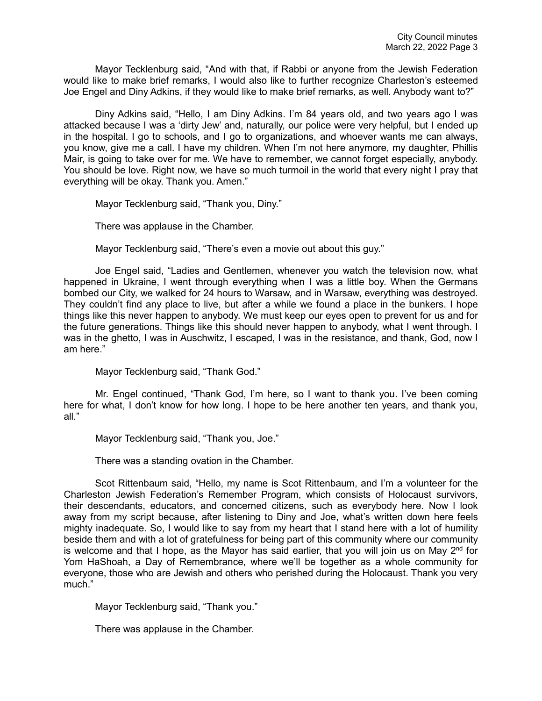Mayor Tecklenburg said, "And with that, if Rabbi or anyone from the Jewish Federation would like to make brief remarks, I would also like to further recognize Charleston's esteemed Joe Engel and Diny Adkins, if they would like to make brief remarks, as well. Anybody want to?"

Diny Adkins said, "Hello, I am Diny Adkins. I'm 84 years old, and two years ago I was attacked because I was a 'dirty Jew' and, naturally, our police were very helpful, but I ended up in the hospital. I go to schools, and I go to organizations, and whoever wants me can always, you know, give me a call. I have my children. When I'm not here anymore, my daughter, Phillis Mair, is going to take over for me. We have to remember, we cannot forget especially, anybody. You should be love. Right now, we have so much turmoil in the world that every night I pray that everything will be okay. Thank you. Amen."

Mayor Tecklenburg said, "Thank you, Diny."

There was applause in the Chamber.

Mayor Tecklenburg said, "There's even a movie out about this guy."

Joe Engel said, "Ladies and Gentlemen, whenever you watch the television now, what happened in Ukraine, I went through everything when I was a little boy. When the Germans bombed our City, we walked for 24 hours to Warsaw, and in Warsaw, everything was destroyed. They couldn't find any place to live, but after a while we found a place in the bunkers. I hope things like this never happen to anybody. We must keep our eyes open to prevent for us and for the future generations. Things like this should never happen to anybody, what I went through. I was in the ghetto, I was in Auschwitz, I escaped, I was in the resistance, and thank, God, now I am here."

Mayor Tecklenburg said, "Thank God."

Mr. Engel continued, "Thank God, I'm here, so I want to thank you. I've been coming here for what, I don't know for how long. I hope to be here another ten years, and thank you, all."

Mayor Tecklenburg said, "Thank you, Joe."

There was a standing ovation in the Chamber.

Scot Rittenbaum said, "Hello, my name is Scot Rittenbaum, and I'm a volunteer for the Charleston Jewish Federation's Remember Program, which consists of Holocaust survivors, their descendants, educators, and concerned citizens, such as everybody here. Now l look away from my script because, after listening to Diny and Joe, what's written down here feels mighty inadequate. So, I would like to say from my heart that I stand here with a lot of humility beside them and with a lot of gratefulness for being part of this community where our community is welcome and that I hope, as the Mayor has said earlier, that you will join us on May  $2<sup>nd</sup>$  for Yom HaShoah, a Day of Remembrance, where we'll be together as a whole community for everyone, those who are Jewish and others who perished during the Holocaust. Thank you very much."

Mayor Tecklenburg said, "Thank you."

There was applause in the Chamber.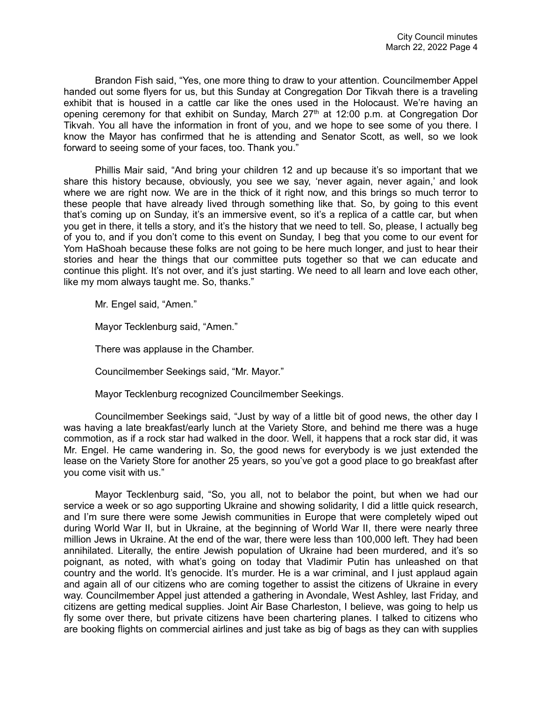Brandon Fish said, "Yes, one more thing to draw to your attention. Councilmember Appel handed out some flyers for us, but this Sunday at Congregation Dor Tikvah there is a traveling exhibit that is housed in a cattle car like the ones used in the Holocaust. We're having an opening ceremony for that exhibit on Sunday, March 27th at 12:00 p.m. at Congregation Dor Tikvah. You all have the information in front of you, and we hope to see some of you there. I know the Mayor has confirmed that he is attending and Senator Scott, as well, so we look forward to seeing some of your faces, too. Thank you."

Phillis Mair said, "And bring your children 12 and up because it's so important that we share this history because, obviously, you see we say, 'never again, never again,' and look where we are right now. We are in the thick of it right now, and this brings so much terror to these people that have already lived through something like that. So, by going to this event that's coming up on Sunday, it's an immersive event, so it's a replica of a cattle car, but when you get in there, it tells a story, and it's the history that we need to tell. So, please, I actually beg of you to, and if you don't come to this event on Sunday, I beg that you come to our event for Yom HaShoah because these folks are not going to be here much longer, and just to hear their stories and hear the things that our committee puts together so that we can educate and continue this plight. It's not over, and it's just starting. We need to all learn and love each other, like my mom always taught me. So, thanks."

Mr. Engel said, "Amen."

Mayor Tecklenburg said, "Amen."

There was applause in the Chamber.

Councilmember Seekings said, "Mr. Mayor."

Mayor Tecklenburg recognized Councilmember Seekings.

Councilmember Seekings said, "Just by way of a little bit of good news, the other day I was having a late breakfast/early lunch at the Variety Store, and behind me there was a huge commotion, as if a rock star had walked in the door. Well, it happens that a rock star did, it was Mr. Engel. He came wandering in. So, the good news for everybody is we just extended the lease on the Variety Store for another 25 years, so you've got a good place to go breakfast after you come visit with us."

Mayor Tecklenburg said, "So, you all, not to belabor the point, but when we had our service a week or so ago supporting Ukraine and showing solidarity, I did a little quick research, and I'm sure there were some Jewish communities in Europe that were completely wiped out during World War II, but in Ukraine, at the beginning of World War II, there were nearly three million Jews in Ukraine. At the end of the war, there were less than 100,000 left. They had been annihilated. Literally, the entire Jewish population of Ukraine had been murdered, and it's so poignant, as noted, with what's going on today that Vladimir Putin has unleashed on that country and the world. It's genocide. It's murder. He is a war criminal, and I just applaud again and again all of our citizens who are coming together to assist the citizens of Ukraine in every way. Councilmember Appel just attended a gathering in Avondale, West Ashley, last Friday, and citizens are getting medical supplies. Joint Air Base Charleston, I believe, was going to help us fly some over there, but private citizens have been chartering planes. I talked to citizens who are booking flights on commercial airlines and just take as big of bags as they can with supplies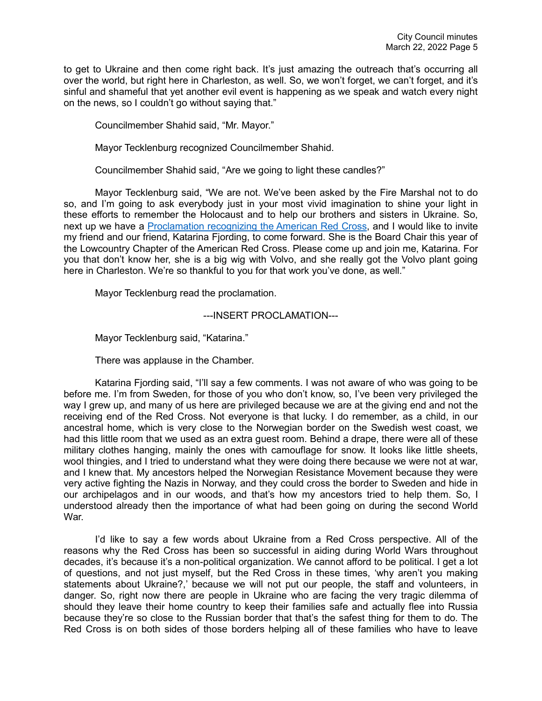to get to Ukraine and then come right back. It's just amazing the outreach that's occurring all over the world, but right here in Charleston, as well. So, we won't forget, we can't forget, and it's sinful and shameful that yet another evil event is happening as we speak and watch every night on the news, so I couldn't go without saying that."

Councilmember Shahid said, "Mr. Mayor."

Mayor Tecklenburg recognized Councilmember Shahid.

Councilmember Shahid said, "Are we going to light these candles?"

Mayor Tecklenburg said, "We are not. We've been asked by the Fire Marshal not to do so, and I'm going to ask everybody just in your most vivid imagination to shine your light in these efforts to remember the Holocaust and to help our brothers and sisters in Ukraine. So, next up we have a [Proclamation recognizing the American Red Cross,](https://youtu.be/sTB0yK2IJ2Y?t=1355) and I would like to invite my friend and our friend, Katarina Fjording, to come forward. She is the Board Chair this year of the Lowcountry Chapter of the American Red Cross. Please come up and join me, Katarina. For you that don't know her, she is a big wig with Volvo, and she really got the Volvo plant going here in Charleston. We're so thankful to you for that work you've done, as well."

Mayor Tecklenburg read the proclamation.

---INSERT PROCLAMATION---

Mayor Tecklenburg said, "Katarina."

There was applause in the Chamber.

Katarina Fjording said, "I'll say a few comments. I was not aware of who was going to be before me. I'm from Sweden, for those of you who don't know, so, I've been very privileged the way I grew up, and many of us here are privileged because we are at the giving end and not the receiving end of the Red Cross. Not everyone is that lucky. I do remember, as a child, in our ancestral home, which is very close to the Norwegian border on the Swedish west coast, we had this little room that we used as an extra guest room. Behind a drape, there were all of these military clothes hanging, mainly the ones with camouflage for snow. It looks like little sheets, wool thingies, and I tried to understand what they were doing there because we were not at war, and I knew that. My ancestors helped the Norwegian Resistance Movement because they were very active fighting the Nazis in Norway, and they could cross the border to Sweden and hide in our archipelagos and in our woods, and that's how my ancestors tried to help them. So, I understood already then the importance of what had been going on during the second World War.

I'd like to say a few words about Ukraine from a Red Cross perspective. All of the reasons why the Red Cross has been so successful in aiding during World Wars throughout decades, it's because it's a non-political organization. We cannot afford to be political. I get a lot of questions, and not just myself, but the Red Cross in these times, 'why aren't you making statements about Ukraine?,' because we will not put our people, the staff and volunteers, in danger. So, right now there are people in Ukraine who are facing the very tragic dilemma of should they leave their home country to keep their families safe and actually flee into Russia because they're so close to the Russian border that that's the safest thing for them to do. The Red Cross is on both sides of those borders helping all of these families who have to leave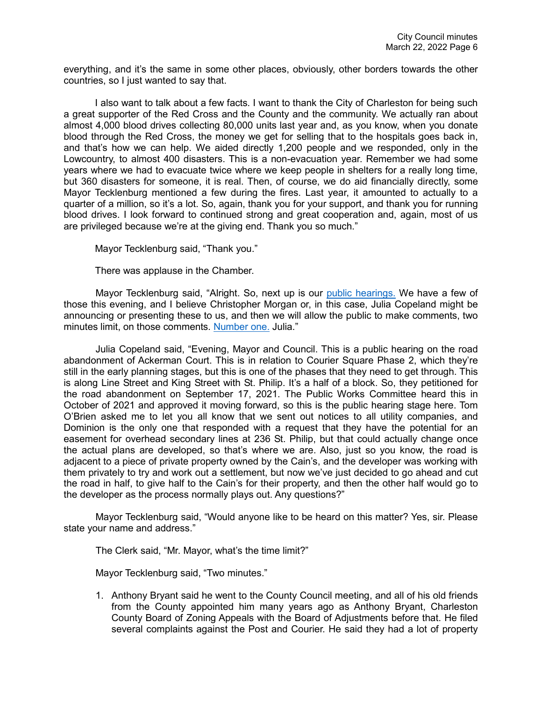everything, and it's the same in some other places, obviously, other borders towards the other countries, so I just wanted to say that.

I also want to talk about a few facts. I want to thank the City of Charleston for being such a great supporter of the Red Cross and the County and the community. We actually ran about almost 4,000 blood drives collecting 80,000 units last year and, as you know, when you donate blood through the Red Cross, the money we get for selling that to the hospitals goes back in, and that's how we can help. We aided directly 1,200 people and we responded, only in the Lowcountry, to almost 400 disasters. This is a non-evacuation year. Remember we had some years where we had to evacuate twice where we keep people in shelters for a really long time, but 360 disasters for someone, it is real. Then, of course, we do aid financially directly, some Mayor Tecklenburg mentioned a few during the fires. Last year, it amounted to actually to a quarter of a million, so it's a lot. So, again, thank you for your support, and thank you for running blood drives. I look forward to continued strong and great cooperation and, again, most of us are privileged because we're at the giving end. Thank you so much."

Mayor Tecklenburg said, "Thank you."

There was applause in the Chamber.

Mayor Tecklenburg said, "Alright. So, next up is our [public hearings.](https://youtu.be/sTB0yK2IJ2Y?t=1820) We have a few of those this evening, and I believe Christopher Morgan or, in this case, Julia Copeland might be announcing or presenting these to us, and then we will allow the public to make comments, two minutes limit, on those comments. [Number one.](https://youtu.be/sTB0yK2IJ2Y?t=1840) Julia."

Julia Copeland said, "Evening, Mayor and Council. This is a public hearing on the road abandonment of Ackerman Court. This is in relation to Courier Square Phase 2, which they're still in the early planning stages, but this is one of the phases that they need to get through. This is along Line Street and King Street with St. Philip. It's a half of a block. So, they petitioned for the road abandonment on September 17, 2021. The Public Works Committee heard this in October of 2021 and approved it moving forward, so this is the public hearing stage here. Tom O'Brien asked me to let you all know that we sent out notices to all utility companies, and Dominion is the only one that responded with a request that they have the potential for an easement for overhead secondary lines at 236 St. Philip, but that could actually change once the actual plans are developed, so that's where we are. Also, just so you know, the road is adjacent to a piece of private property owned by the Cain's, and the developer was working with them privately to try and work out a settlement, but now we've just decided to go ahead and cut the road in half, to give half to the Cain's for their property, and then the other half would go to the developer as the process normally plays out. Any questions?"

Mayor Tecklenburg said, "Would anyone like to be heard on this matter? Yes, sir. Please state your name and address."

The Clerk said, "Mr. Mayor, what's the time limit?"

Mayor Tecklenburg said, "Two minutes."

1. Anthony Bryant said he went to the County Council meeting, and all of his old friends from the County appointed him many years ago as Anthony Bryant, Charleston County Board of Zoning Appeals with the Board of Adjustments before that. He filed several complaints against the Post and Courier. He said they had a lot of property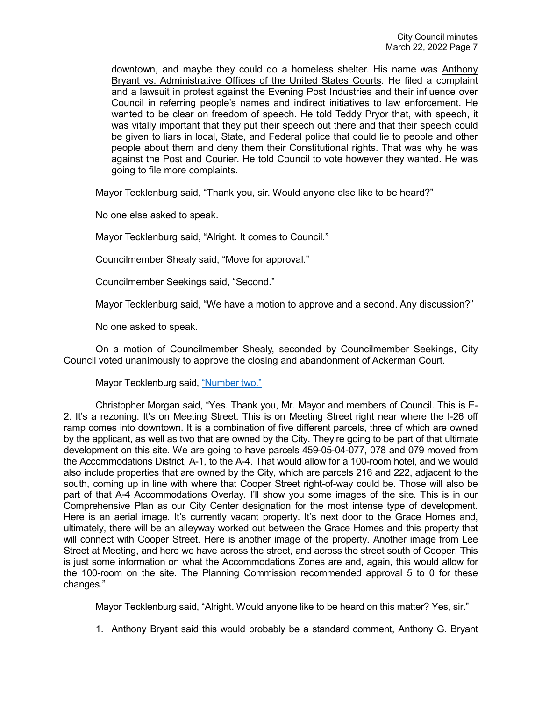downtown, and maybe they could do a homeless shelter. His name was Anthony Bryant vs. Administrative Offices of the United States Courts. He filed a complaint and a lawsuit in protest against the Evening Post Industries and their influence over Council in referring people's names and indirect initiatives to law enforcement. He wanted to be clear on freedom of speech. He told Teddy Pryor that, with speech, it was vitally important that they put their speech out there and that their speech could be given to liars in local, State, and Federal police that could lie to people and other people about them and deny them their Constitutional rights. That was why he was against the Post and Courier. He told Council to vote however they wanted. He was going to file more complaints.

Mayor Tecklenburg said, "Thank you, sir. Would anyone else like to be heard?"

No one else asked to speak.

Mayor Tecklenburg said, "Alright. It comes to Council."

Councilmember Shealy said, "Move for approval."

Councilmember Seekings said, "Second."

Mayor Tecklenburg said, "We have a motion to approve and a second. Any discussion?"

No one asked to speak.

On a motion of Councilmember Shealy, seconded by Councilmember Seekings, City Council voted unanimously to approve the closing and abandonment of Ackerman Court.

Mayor Tecklenburg said, ["Number two."](https://youtu.be/sTB0yK2IJ2Y?t=2053)

Christopher Morgan said, "Yes. Thank you, Mr. Mayor and members of Council. This is E-2. It's a rezoning. It's on Meeting Street. This is on Meeting Street right near where the I-26 off ramp comes into downtown. It is a combination of five different parcels, three of which are owned by the applicant, as well as two that are owned by the City. They're going to be part of that ultimate development on this site. We are going to have parcels 459-05-04-077, 078 and 079 moved from the Accommodations District, A-1, to the A-4. That would allow for a 100-room hotel, and we would also include properties that are owned by the City, which are parcels 216 and 222, adjacent to the south, coming up in line with where that Cooper Street right-of-way could be. Those will also be part of that A-4 Accommodations Overlay. I'll show you some images of the site. This is in our Comprehensive Plan as our City Center designation for the most intense type of development. Here is an aerial image. It's currently vacant property. It's next door to the Grace Homes and, ultimately, there will be an alleyway worked out between the Grace Homes and this property that will connect with Cooper Street. Here is another image of the property. Another image from Lee Street at Meeting, and here we have across the street, and across the street south of Cooper. This is just some information on what the Accommodations Zones are and, again, this would allow for the 100-room on the site. The Planning Commission recommended approval 5 to 0 for these changes."

Mayor Tecklenburg said, "Alright. Would anyone like to be heard on this matter? Yes, sir."

1. Anthony Bryant said this would probably be a standard comment, Anthony G. Bryant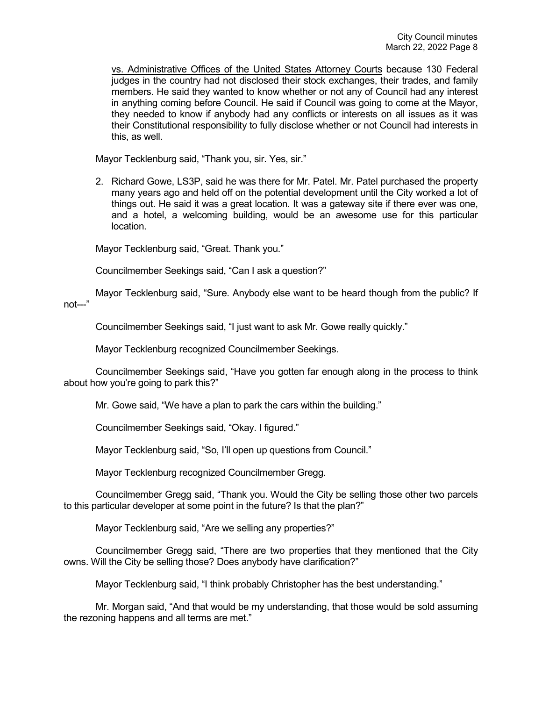vs. Administrative Offices of the United States Attorney Courts because 130 Federal judges in the country had not disclosed their stock exchanges, their trades, and family members. He said they wanted to know whether or not any of Council had any interest in anything coming before Council. He said if Council was going to come at the Mayor, they needed to know if anybody had any conflicts or interests on all issues as it was their Constitutional responsibility to fully disclose whether or not Council had interests in this, as well.

Mayor Tecklenburg said, "Thank you, sir. Yes, sir."

2. Richard Gowe, LS3P, said he was there for Mr. Patel. Mr. Patel purchased the property many years ago and held off on the potential development until the City worked a lot of things out. He said it was a great location. It was a gateway site if there ever was one, and a hotel, a welcoming building, would be an awesome use for this particular location.

Mayor Tecklenburg said, "Great. Thank you."

Councilmember Seekings said, "Can I ask a question?"

Mayor Tecklenburg said, "Sure. Anybody else want to be heard though from the public? If not---"

Councilmember Seekings said, "I just want to ask Mr. Gowe really quickly."

Mayor Tecklenburg recognized Councilmember Seekings.

Councilmember Seekings said, "Have you gotten far enough along in the process to think about how you're going to park this?"

Mr. Gowe said, "We have a plan to park the cars within the building."

Councilmember Seekings said, "Okay. I figured."

Mayor Tecklenburg said, "So, I'll open up questions from Council."

Mayor Tecklenburg recognized Councilmember Gregg.

Councilmember Gregg said, "Thank you. Would the City be selling those other two parcels to this particular developer at some point in the future? Is that the plan?"

Mayor Tecklenburg said, "Are we selling any properties?"

Councilmember Gregg said, "There are two properties that they mentioned that the City owns. Will the City be selling those? Does anybody have clarification?"

Mayor Tecklenburg said, "I think probably Christopher has the best understanding."

Mr. Morgan said, "And that would be my understanding, that those would be sold assuming the rezoning happens and all terms are met."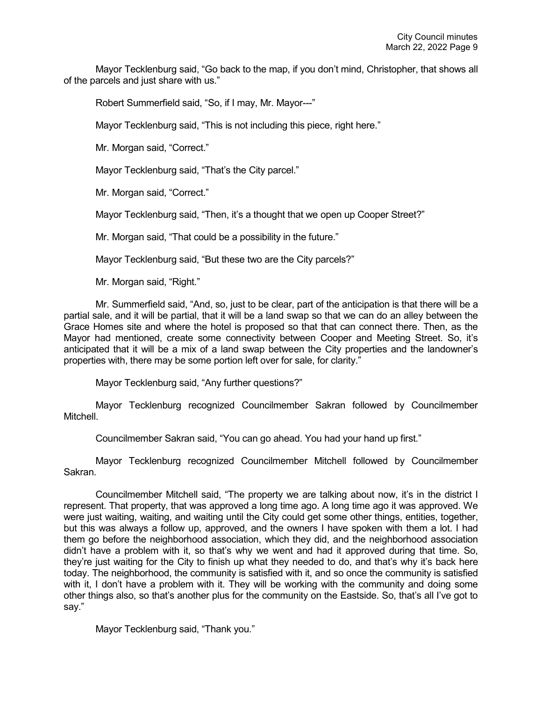Mayor Tecklenburg said, "Go back to the map, if you don't mind, Christopher, that shows all of the parcels and just share with us."

Robert Summerfield said, "So, if I may, Mr. Mayor---"

Mayor Tecklenburg said, "This is not including this piece, right here."

Mr. Morgan said, "Correct."

Mayor Tecklenburg said, "That's the City parcel."

Mr. Morgan said, "Correct."

Mayor Tecklenburg said, "Then, it's a thought that we open up Cooper Street?"

Mr. Morgan said, "That could be a possibility in the future."

Mayor Tecklenburg said, "But these two are the City parcels?"

Mr. Morgan said, "Right."

Mr. Summerfield said, "And, so, just to be clear, part of the anticipation is that there will be a partial sale, and it will be partial, that it will be a land swap so that we can do an alley between the Grace Homes site and where the hotel is proposed so that that can connect there. Then, as the Mayor had mentioned, create some connectivity between Cooper and Meeting Street. So, it's anticipated that it will be a mix of a land swap between the City properties and the landowner's properties with, there may be some portion left over for sale, for clarity."

Mayor Tecklenburg said, "Any further questions?"

Mayor Tecklenburg recognized Councilmember Sakran followed by Councilmember **Mitchell** 

Councilmember Sakran said, "You can go ahead. You had your hand up first."

Mayor Tecklenburg recognized Councilmember Mitchell followed by Councilmember Sakran.

Councilmember Mitchell said, "The property we are talking about now, it's in the district I represent. That property, that was approved a long time ago. A long time ago it was approved. We were just waiting, waiting, and waiting until the City could get some other things, entities, together, but this was always a follow up, approved, and the owners I have spoken with them a lot. I had them go before the neighborhood association, which they did, and the neighborhood association didn't have a problem with it, so that's why we went and had it approved during that time. So, they're just waiting for the City to finish up what they needed to do, and that's why it's back here today. The neighborhood, the community is satisfied with it, and so once the community is satisfied with it, I don't have a problem with it. They will be working with the community and doing some other things also, so that's another plus for the community on the Eastside. So, that's all I've got to say."

Mayor Tecklenburg said, "Thank you."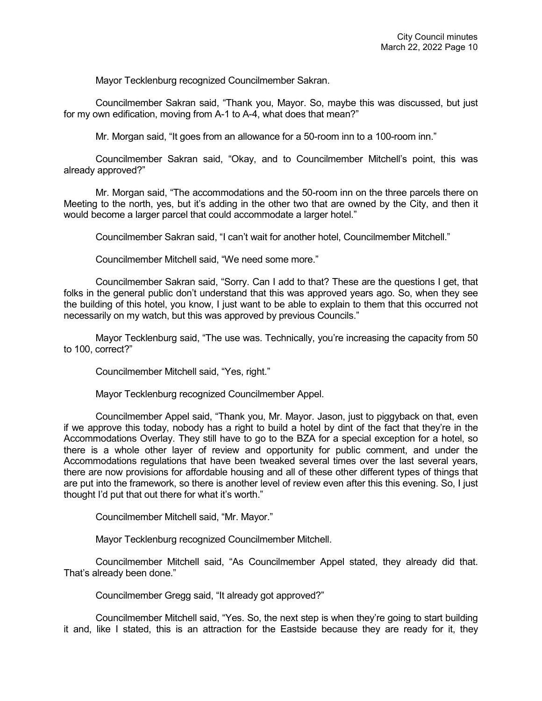Mayor Tecklenburg recognized Councilmember Sakran.

Councilmember Sakran said, "Thank you, Mayor. So, maybe this was discussed, but just for my own edification, moving from A-1 to A-4, what does that mean?"

Mr. Morgan said, "It goes from an allowance for a 50-room inn to a 100-room inn."

Councilmember Sakran said, "Okay, and to Councilmember Mitchell's point, this was already approved?"

Mr. Morgan said, "The accommodations and the 50-room inn on the three parcels there on Meeting to the north, yes, but it's adding in the other two that are owned by the City, and then it would become a larger parcel that could accommodate a larger hotel."

Councilmember Sakran said, "I can't wait for another hotel, Councilmember Mitchell."

Councilmember Mitchell said, "We need some more."

Councilmember Sakran said, "Sorry. Can I add to that? These are the questions I get, that folks in the general public don't understand that this was approved years ago. So, when they see the building of this hotel, you know, I just want to be able to explain to them that this occurred not necessarily on my watch, but this was approved by previous Councils."

Mayor Tecklenburg said, "The use was. Technically, you're increasing the capacity from 50 to 100, correct?"

Councilmember Mitchell said, "Yes, right."

Mayor Tecklenburg recognized Councilmember Appel.

Councilmember Appel said, "Thank you, Mr. Mayor. Jason, just to piggyback on that, even if we approve this today, nobody has a right to build a hotel by dint of the fact that they're in the Accommodations Overlay. They still have to go to the BZA for a special exception for a hotel, so there is a whole other layer of review and opportunity for public comment, and under the Accommodations regulations that have been tweaked several times over the last several years, there are now provisions for affordable housing and all of these other different types of things that are put into the framework, so there is another level of review even after this this evening. So, I just thought I'd put that out there for what it's worth."

Councilmember Mitchell said, "Mr. Mayor."

Mayor Tecklenburg recognized Councilmember Mitchell.

Councilmember Mitchell said, "As Councilmember Appel stated, they already did that. That's already been done."

Councilmember Gregg said, "It already got approved?"

Councilmember Mitchell said, "Yes. So, the next step is when they're going to start building it and, like I stated, this is an attraction for the Eastside because they are ready for it, they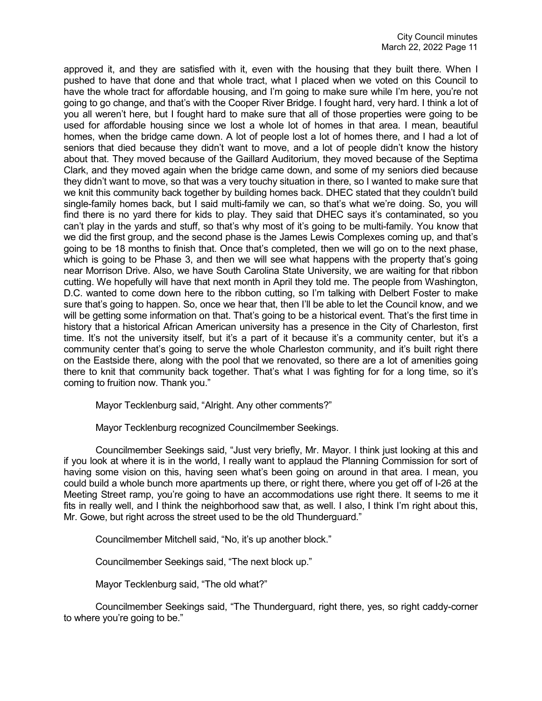approved it, and they are satisfied with it, even with the housing that they built there. When I pushed to have that done and that whole tract, what I placed when we voted on this Council to have the whole tract for affordable housing, and I'm going to make sure while I'm here, you're not going to go change, and that's with the Cooper River Bridge. I fought hard, very hard. I think a lot of you all weren't here, but I fought hard to make sure that all of those properties were going to be used for affordable housing since we lost a whole lot of homes in that area. I mean, beautiful homes, when the bridge came down. A lot of people lost a lot of homes there, and I had a lot of seniors that died because they didn't want to move, and a lot of people didn't know the history about that. They moved because of the Gaillard Auditorium, they moved because of the Septima Clark, and they moved again when the bridge came down, and some of my seniors died because they didn't want to move, so that was a very touchy situation in there, so I wanted to make sure that we knit this community back together by building homes back. DHEC stated that they couldn't build single-family homes back, but I said multi-family we can, so that's what we're doing. So, you will find there is no yard there for kids to play. They said that DHEC says it's contaminated, so you can't play in the yards and stuff, so that's why most of it's going to be multi-family. You know that we did the first group, and the second phase is the James Lewis Complexes coming up, and that's going to be 18 months to finish that. Once that's completed, then we will go on to the next phase, which is going to be Phase 3, and then we will see what happens with the property that's going near Morrison Drive. Also, we have South Carolina State University, we are waiting for that ribbon cutting. We hopefully will have that next month in April they told me. The people from Washington, D.C. wanted to come down here to the ribbon cutting, so I'm talking with Delbert Foster to make sure that's going to happen. So, once we hear that, then I'll be able to let the Council know, and we will be getting some information on that. That's going to be a historical event. That's the first time in history that a historical African American university has a presence in the City of Charleston, first time. It's not the university itself, but it's a part of it because it's a community center, but it's a community center that's going to serve the whole Charleston community, and it's built right there on the Eastside there, along with the pool that we renovated, so there are a lot of amenities going there to knit that community back together. That's what I was fighting for for a long time, so it's coming to fruition now. Thank you."

Mayor Tecklenburg said, "Alright. Any other comments?"

Mayor Tecklenburg recognized Councilmember Seekings.

Councilmember Seekings said, "Just very briefly, Mr. Mayor. I think just looking at this and if you look at where it is in the world, I really want to applaud the Planning Commission for sort of having some vision on this, having seen what's been going on around in that area. I mean, you could build a whole bunch more apartments up there, or right there, where you get off of I-26 at the Meeting Street ramp, you're going to have an accommodations use right there. It seems to me it fits in really well, and I think the neighborhood saw that, as well. I also, I think I'm right about this, Mr. Gowe, but right across the street used to be the old Thunderguard."

Councilmember Mitchell said, "No, it's up another block."

Councilmember Seekings said, "The next block up."

Mayor Tecklenburg said, "The old what?"

Councilmember Seekings said, "The Thunderguard, right there, yes, so right caddy-corner to where you're going to be."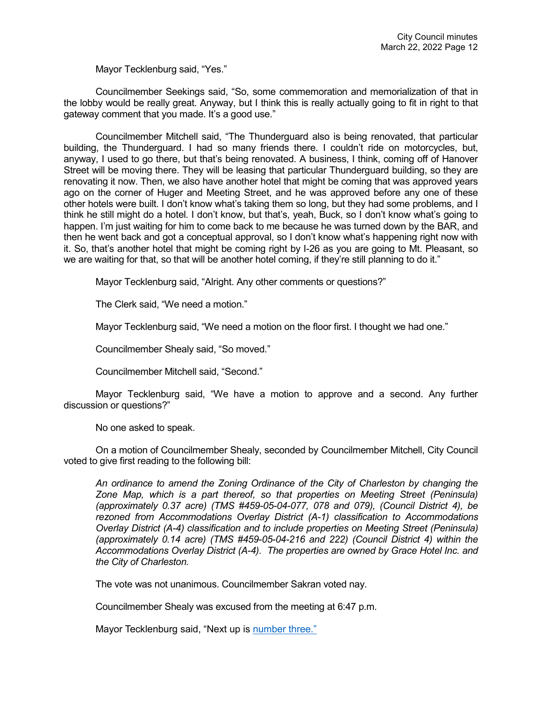Mayor Tecklenburg said, "Yes."

Councilmember Seekings said, "So, some commemoration and memorialization of that in the lobby would be really great. Anyway, but I think this is really actually going to fit in right to that gateway comment that you made. It's a good use."

Councilmember Mitchell said, "The Thunderguard also is being renovated, that particular building, the Thunderguard. I had so many friends there. I couldn't ride on motorcycles, but, anyway, I used to go there, but that's being renovated. A business, I think, coming off of Hanover Street will be moving there. They will be leasing that particular Thunderguard building, so they are renovating it now. Then, we also have another hotel that might be coming that was approved years ago on the corner of Huger and Meeting Street, and he was approved before any one of these other hotels were built. I don't know what's taking them so long, but they had some problems, and I think he still might do a hotel. I don't know, but that's, yeah, Buck, so I don't know what's going to happen. I'm just waiting for him to come back to me because he was turned down by the BAR, and then he went back and got a conceptual approval, so I don't know what's happening right now with it. So, that's another hotel that might be coming right by I-26 as you are going to Mt. Pleasant, so we are waiting for that, so that will be another hotel coming, if they're still planning to do it."

Mayor Tecklenburg said, "Alright. Any other comments or questions?"

The Clerk said, "We need a motion."

Mayor Tecklenburg said, "We need a motion on the floor first. I thought we had one."

Councilmember Shealy said, "So moved."

Councilmember Mitchell said, "Second."

Mayor Tecklenburg said, "We have a motion to approve and a second. Any further discussion or questions?"

No one asked to speak.

On a motion of Councilmember Shealy, seconded by Councilmember Mitchell, City Council voted to give first reading to the following bill:

*An ordinance to amend the Zoning Ordinance of the City of Charleston by changing the Zone Map, which is a part thereof, so that properties on Meeting Street (Peninsula) (approximately 0.37 acre) (TMS #459-05-04-077, 078 and 079), (Council District 4), be rezoned from Accommodations Overlay District (A-1) classification to Accommodations Overlay District (A-4) classification and to include properties on Meeting Street (Peninsula) (approximately 0.14 acre) (TMS #459-05-04-216 and 222) (Council District 4) within the Accommodations Overlay District (A-4). The properties are owned by Grace Hotel Inc. and the City of Charleston.* 

The vote was not unanimous. Councilmember Sakran voted nay.

Councilmember Shealy was excused from the meeting at 6:47 p.m.

Mayor Tecklenburg said, "Next up is [number three."](https://youtu.be/sTB0yK2IJ2Y?t=2867)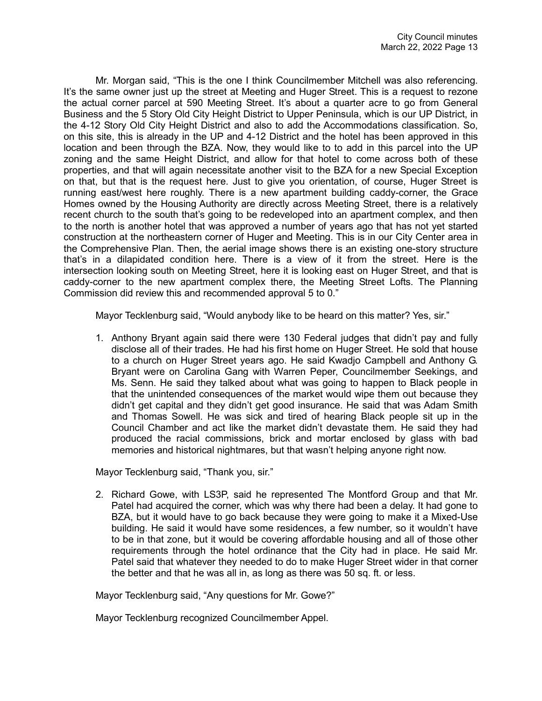Mr. Morgan said, "This is the one I think Councilmember Mitchell was also referencing. It's the same owner just up the street at Meeting and Huger Street. This is a request to rezone the actual corner parcel at 590 Meeting Street. It's about a quarter acre to go from General Business and the 5 Story Old City Height District to Upper Peninsula, which is our UP District, in the 4-12 Story Old City Height District and also to add the Accommodations classification. So, on this site, this is already in the UP and 4-12 District and the hotel has been approved in this location and been through the BZA. Now, they would like to to add in this parcel into the UP zoning and the same Height District, and allow for that hotel to come across both of these properties, and that will again necessitate another visit to the BZA for a new Special Exception on that, but that is the request here. Just to give you orientation, of course, Huger Street is running east/west here roughly. There is a new apartment building caddy-corner, the Grace Homes owned by the Housing Authority are directly across Meeting Street, there is a relatively recent church to the south that's going to be redeveloped into an apartment complex, and then to the north is another hotel that was approved a number of years ago that has not yet started construction at the northeastern corner of Huger and Meeting. This is in our City Center area in the Comprehensive Plan. Then, the aerial image shows there is an existing one-story structure that's in a dilapidated condition here. There is a view of it from the street. Here is the intersection looking south on Meeting Street, here it is looking east on Huger Street, and that is caddy-corner to the new apartment complex there, the Meeting Street Lofts. The Planning Commission did review this and recommended approval 5 to 0."

Mayor Tecklenburg said, "Would anybody like to be heard on this matter? Yes, sir."

1. Anthony Bryant again said there were 130 Federal judges that didn't pay and fully disclose all of their trades. He had his first home on Huger Street. He sold that house to a church on Huger Street years ago. He said Kwadjo Campbell and Anthony G. Bryant were on Carolina Gang with Warren Peper, Councilmember Seekings, and Ms. Senn. He said they talked about what was going to happen to Black people in that the unintended consequences of the market would wipe them out because they didn't get capital and they didn't get good insurance. He said that was Adam Smith and Thomas Sowell. He was sick and tired of hearing Black people sit up in the Council Chamber and act like the market didn't devastate them. He said they had produced the racial commissions, brick and mortar enclosed by glass with bad memories and historical nightmares, but that wasn't helping anyone right now.

Mayor Tecklenburg said, "Thank you, sir."

2. Richard Gowe, with LS3P, said he represented The Montford Group and that Mr. Patel had acquired the corner, which was why there had been a delay. It had gone to BZA, but it would have to go back because they were going to make it a Mixed-Use building. He said it would have some residences, a few number, so it wouldn't have to be in that zone, but it would be covering affordable housing and all of those other requirements through the hotel ordinance that the City had in place. He said Mr. Patel said that whatever they needed to do to make Huger Street wider in that corner the better and that he was all in, as long as there was 50 sq. ft. or less.

Mayor Tecklenburg said, "Any questions for Mr. Gowe?"

Mayor Tecklenburg recognized Councilmember Appel.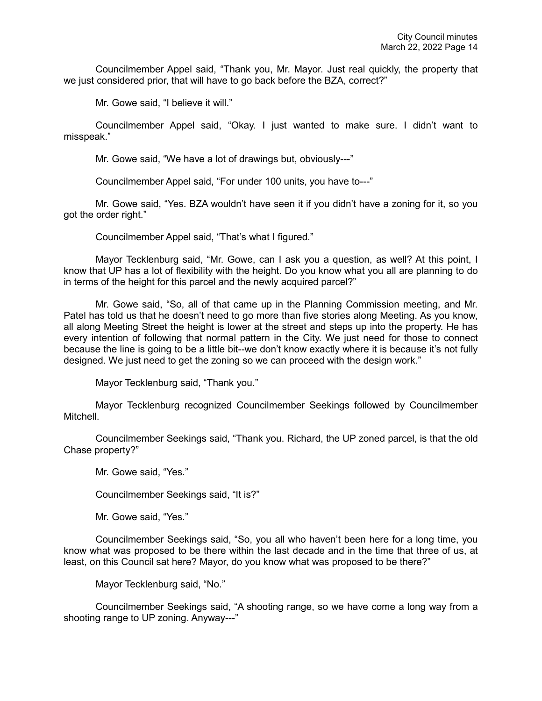Councilmember Appel said, "Thank you, Mr. Mayor. Just real quickly, the property that we just considered prior, that will have to go back before the BZA, correct?"

Mr. Gowe said, "I believe it will."

Councilmember Appel said, "Okay. I just wanted to make sure. I didn't want to misspeak."

Mr. Gowe said, "We have a lot of drawings but, obviously---"

Councilmember Appel said, "For under 100 units, you have to---"

Mr. Gowe said, "Yes. BZA wouldn't have seen it if you didn't have a zoning for it, so you got the order right."

Councilmember Appel said, "That's what I figured."

Mayor Tecklenburg said, "Mr. Gowe, can I ask you a question, as well? At this point, I know that UP has a lot of flexibility with the height. Do you know what you all are planning to do in terms of the height for this parcel and the newly acquired parcel?"

Mr. Gowe said, "So, all of that came up in the Planning Commission meeting, and Mr. Patel has told us that he doesn't need to go more than five stories along Meeting. As you know, all along Meeting Street the height is lower at the street and steps up into the property. He has every intention of following that normal pattern in the City. We just need for those to connect because the line is going to be a little bit--we don't know exactly where it is because it's not fully designed. We just need to get the zoning so we can proceed with the design work."

Mayor Tecklenburg said, "Thank you."

Mayor Tecklenburg recognized Councilmember Seekings followed by Councilmember **Mitchell** 

Councilmember Seekings said, "Thank you. Richard, the UP zoned parcel, is that the old Chase property?"

Mr. Gowe said, "Yes."

Councilmember Seekings said, "It is?"

Mr. Gowe said, "Yes."

Councilmember Seekings said, "So, you all who haven't been here for a long time, you know what was proposed to be there within the last decade and in the time that three of us, at least, on this Council sat here? Mayor, do you know what was proposed to be there?"

Mayor Tecklenburg said, "No."

Councilmember Seekings said, "A shooting range, so we have come a long way from a shooting range to UP zoning. Anyway---"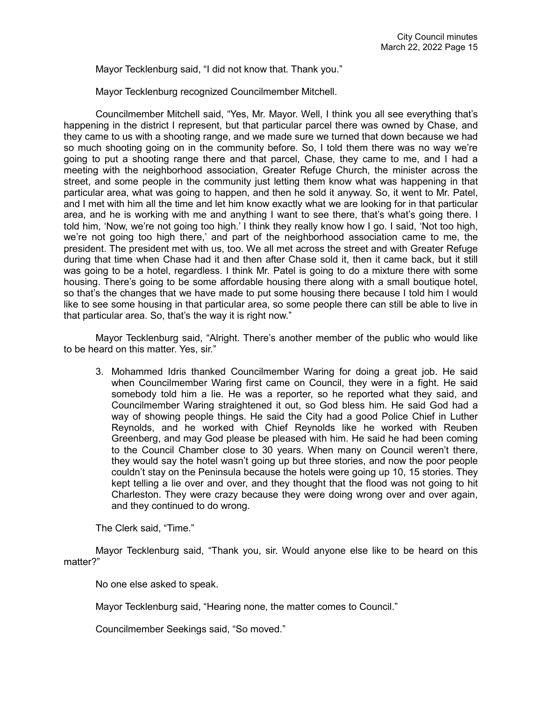Mayor Tecklenburg said, "I did not know that. Thank you."

Mayor Tecklenburg recognized Councilmember Mitchell.

Councilmember Mitchell said, "Yes, Mr. Mayor. Well, I think you all see everything that's happening in the district I represent, but that particular parcel there was owned by Chase, and they came to us with a shooting range, and we made sure we turned that down because we had so much shooting going on in the community before. So, I told them there was no way we're going to put a shooting range there and that parcel, Chase, they came to me, and I had a meeting with the neighborhood association, Greater Refuge Church, the minister across the street, and some people in the community just letting them know what was happening in that particular area, what was going to happen, and then he sold it anyway. So, it went to Mr. Patel, and I met with him all the time and let him know exactly what we are looking for in that particular area, and he is working with me and anything I want to see there, that's what's going there. I told him, 'Now, we're not going too high.' I think they really know how I go. I said, 'Not too high, we're not going too high there,' and part of the neighborhood association came to me, the president. The president met with us, too. We all met across the street and with Greater Refuge during that time when Chase had it and then after Chase sold it, then it came back, but it still was going to be a hotel, regardless. I think Mr. Patel is going to do a mixture there with some housing. There's going to be some affordable housing there along with a small boutique hotel, so that's the changes that we have made to put some housing there because I told him I would like to see some housing in that particular area, so some people there can still be able to live in that particular area. So, that's the way it is right now."

Mayor Tecklenburg said, "Alright. There's another member of the public who would like to be heard on this matter. Yes, sir."

3. Mohammed Idris thanked Councilmember Waring for doing a great job. He said when Councilmember Waring first came on Council, they were in a fight. He said somebody told him a lie. He was a reporter, so he reported what they said, and Councilmember Waring straightened it out, so God bless him. He said God had a way of showing people things. He said the City had a good Police Chief in Luther Reynolds, and he worked with Chief Reynolds like he worked with Reuben Greenberg, and may God please be pleased with him. He said he had been coming to the Council Chamber close to 30 years. When many on Council weren't there, they would say the hotel wasn't going up but three stories, and now the poor people couldn't stay on the Peninsula because the hotels were going up 10, 15 stories. They kept telling a lie over and over, and they thought that the flood was not going to hit Charleston. They were crazy because they were doing wrong over and over again, and they continued to do wrong.

The Clerk said, "Time."

Mayor Tecklenburg said, "Thank you, sir. Would anyone else like to be heard on this matter?"

No one else asked to speak.

Mayor Tecklenburg said, "Hearing none, the matter comes to Council."

Councilmember Seekings said, "So moved."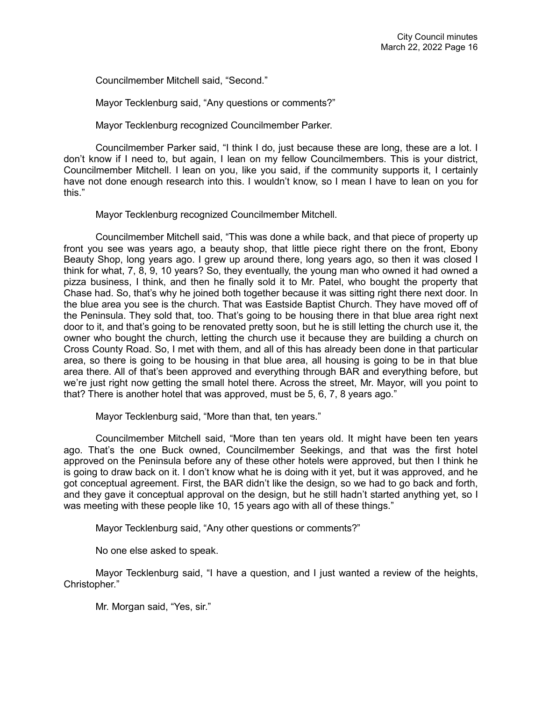Councilmember Mitchell said, "Second."

Mayor Tecklenburg said, "Any questions or comments?"

Mayor Tecklenburg recognized Councilmember Parker.

Councilmember Parker said, "I think I do, just because these are long, these are a lot. I don't know if I need to, but again, I lean on my fellow Councilmembers. This is your district, Councilmember Mitchell. I lean on you, like you said, if the community supports it, I certainly have not done enough research into this. I wouldn't know, so I mean I have to lean on you for this."

Mayor Tecklenburg recognized Councilmember Mitchell.

Councilmember Mitchell said, "This was done a while back, and that piece of property up front you see was years ago, a beauty shop, that little piece right there on the front, Ebony Beauty Shop, long years ago. I grew up around there, long years ago, so then it was closed I think for what, 7, 8, 9, 10 years? So, they eventually, the young man who owned it had owned a pizza business, I think, and then he finally sold it to Mr. Patel, who bought the property that Chase had. So, that's why he joined both together because it was sitting right there next door. In the blue area you see is the church. That was Eastside Baptist Church. They have moved off of the Peninsula. They sold that, too. That's going to be housing there in that blue area right next door to it, and that's going to be renovated pretty soon, but he is still letting the church use it, the owner who bought the church, letting the church use it because they are building a church on Cross County Road. So, I met with them, and all of this has already been done in that particular area, so there is going to be housing in that blue area, all housing is going to be in that blue area there. All of that's been approved and everything through BAR and everything before, but we're just right now getting the small hotel there. Across the street, Mr. Mayor, will you point to that? There is another hotel that was approved, must be 5, 6, 7, 8 years ago."

Mayor Tecklenburg said, "More than that, ten years."

Councilmember Mitchell said, "More than ten years old. It might have been ten years ago. That's the one Buck owned, Councilmember Seekings, and that was the first hotel approved on the Peninsula before any of these other hotels were approved, but then I think he is going to draw back on it. I don't know what he is doing with it yet, but it was approved, and he got conceptual agreement. First, the BAR didn't like the design, so we had to go back and forth, and they gave it conceptual approval on the design, but he still hadn't started anything yet, so I was meeting with these people like 10, 15 years ago with all of these things."

Mayor Tecklenburg said, "Any other questions or comments?"

No one else asked to speak.

Mayor Tecklenburg said, "I have a question, and I just wanted a review of the heights, Christopher."

Mr. Morgan said, "Yes, sir."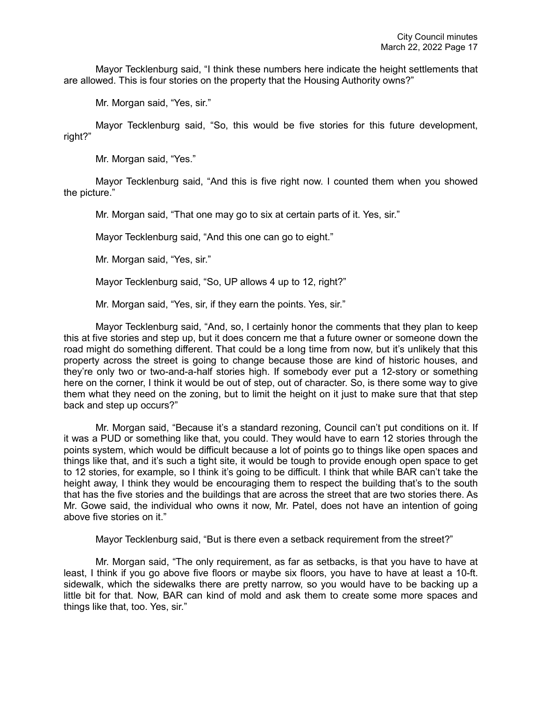Mayor Tecklenburg said, "I think these numbers here indicate the height settlements that are allowed. This is four stories on the property that the Housing Authority owns?"

Mr. Morgan said, "Yes, sir."

Mayor Tecklenburg said, "So, this would be five stories for this future development, right?"

Mr. Morgan said, "Yes."

Mayor Tecklenburg said, "And this is five right now. I counted them when you showed the picture."

Mr. Morgan said, "That one may go to six at certain parts of it. Yes, sir."

Mayor Tecklenburg said, "And this one can go to eight."

Mr. Morgan said, "Yes, sir."

Mayor Tecklenburg said, "So, UP allows 4 up to 12, right?"

Mr. Morgan said, "Yes, sir, if they earn the points. Yes, sir."

Mayor Tecklenburg said, "And, so, I certainly honor the comments that they plan to keep this at five stories and step up, but it does concern me that a future owner or someone down the road might do something different. That could be a long time from now, but it's unlikely that this property across the street is going to change because those are kind of historic houses, and they're only two or two-and-a-half stories high. If somebody ever put a 12-story or something here on the corner, I think it would be out of step, out of character. So, is there some way to give them what they need on the zoning, but to limit the height on it just to make sure that that step back and step up occurs?"

Mr. Morgan said, "Because it's a standard rezoning, Council can't put conditions on it. If it was a PUD or something like that, you could. They would have to earn 12 stories through the points system, which would be difficult because a lot of points go to things like open spaces and things like that, and it's such a tight site, it would be tough to provide enough open space to get to 12 stories, for example, so I think it's going to be difficult. I think that while BAR can't take the height away, I think they would be encouraging them to respect the building that's to the south that has the five stories and the buildings that are across the street that are two stories there. As Mr. Gowe said, the individual who owns it now, Mr. Patel, does not have an intention of going above five stories on it."

Mayor Tecklenburg said, "But is there even a setback requirement from the street?"

Mr. Morgan said, "The only requirement, as far as setbacks, is that you have to have at least, I think if you go above five floors or maybe six floors, you have to have at least a 10-ft. sidewalk, which the sidewalks there are pretty narrow, so you would have to be backing up a little bit for that. Now, BAR can kind of mold and ask them to create some more spaces and things like that, too. Yes, sir."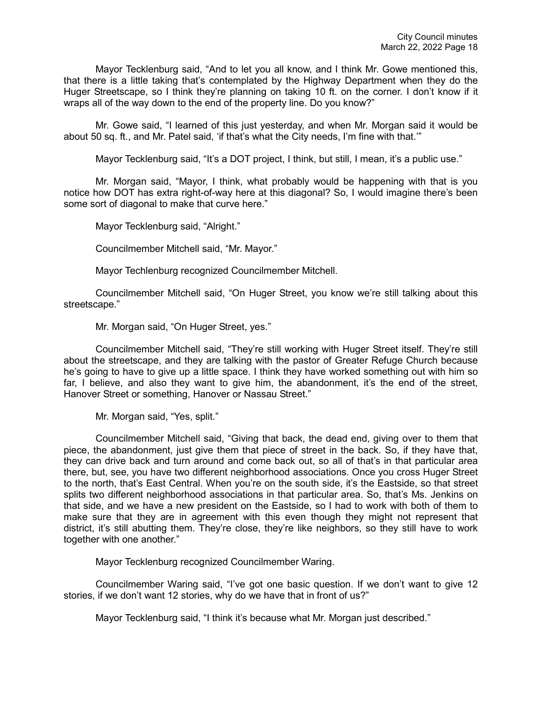Mayor Tecklenburg said, "And to let you all know, and I think Mr. Gowe mentioned this, that there is a little taking that's contemplated by the Highway Department when they do the Huger Streetscape, so I think they're planning on taking 10 ft. on the corner. I don't know if it wraps all of the way down to the end of the property line. Do you know?"

Mr. Gowe said, "I learned of this just yesterday, and when Mr. Morgan said it would be about 50 sq. ft., and Mr. Patel said, 'if that's what the City needs, I'm fine with that.'"

Mayor Tecklenburg said, "It's a DOT project, I think, but still, I mean, it's a public use."

Mr. Morgan said, "Mayor, I think, what probably would be happening with that is you notice how DOT has extra right-of-way here at this diagonal? So, I would imagine there's been some sort of diagonal to make that curve here."

Mayor Tecklenburg said, "Alright."

Councilmember Mitchell said, "Mr. Mayor."

Mayor Techlenburg recognized Councilmember Mitchell.

Councilmember Mitchell said, "On Huger Street, you know we're still talking about this streetscape."

Mr. Morgan said, "On Huger Street, yes."

Councilmember Mitchell said, "They're still working with Huger Street itself. They're still about the streetscape, and they are talking with the pastor of Greater Refuge Church because he's going to have to give up a little space. I think they have worked something out with him so far, I believe, and also they want to give him, the abandonment, it's the end of the street, Hanover Street or something, Hanover or Nassau Street."

Mr. Morgan said, "Yes, split."

Councilmember Mitchell said, "Giving that back, the dead end, giving over to them that piece, the abandonment, just give them that piece of street in the back. So, if they have that, they can drive back and turn around and come back out, so all of that's in that particular area there, but, see, you have two different neighborhood associations. Once you cross Huger Street to the north, that's East Central. When you're on the south side, it's the Eastside, so that street splits two different neighborhood associations in that particular area. So, that's Ms. Jenkins on that side, and we have a new president on the Eastside, so I had to work with both of them to make sure that they are in agreement with this even though they might not represent that district, it's still abutting them. They're close, they're like neighbors, so they still have to work together with one another."

Mayor Tecklenburg recognized Councilmember Waring.

Councilmember Waring said, "I've got one basic question. If we don't want to give 12 stories, if we don't want 12 stories, why do we have that in front of us?"

Mayor Tecklenburg said, "I think it's because what Mr. Morgan just described."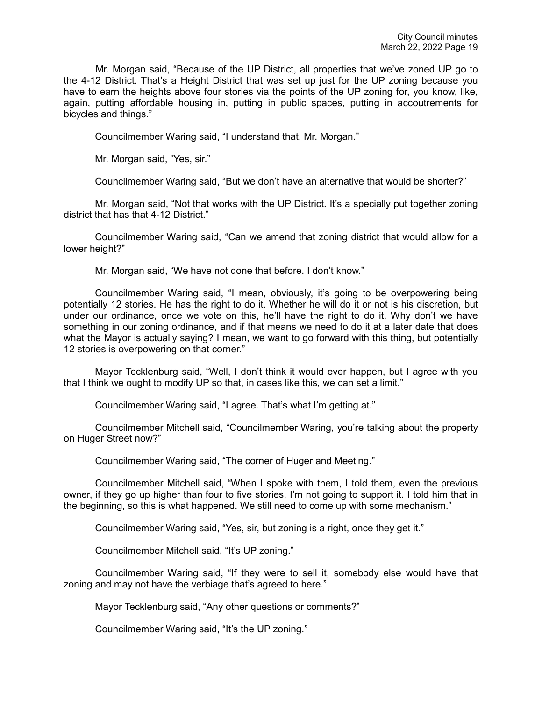Mr. Morgan said, "Because of the UP District, all properties that we've zoned UP go to the 4-12 District. That's a Height District that was set up just for the UP zoning because you have to earn the heights above four stories via the points of the UP zoning for, you know, like, again, putting affordable housing in, putting in public spaces, putting in accoutrements for bicycles and things."

Councilmember Waring said, "I understand that, Mr. Morgan."

Mr. Morgan said, "Yes, sir."

Councilmember Waring said, "But we don't have an alternative that would be shorter?"

Mr. Morgan said, "Not that works with the UP District. It's a specially put together zoning district that has that 4-12 District."

Councilmember Waring said, "Can we amend that zoning district that would allow for a lower height?"

Mr. Morgan said, "We have not done that before. I don't know."

Councilmember Waring said, "I mean, obviously, it's going to be overpowering being potentially 12 stories. He has the right to do it. Whether he will do it or not is his discretion, but under our ordinance, once we vote on this, he'll have the right to do it. Why don't we have something in our zoning ordinance, and if that means we need to do it at a later date that does what the Mayor is actually saying? I mean, we want to go forward with this thing, but potentially 12 stories is overpowering on that corner."

Mayor Tecklenburg said, "Well, I don't think it would ever happen, but I agree with you that I think we ought to modify UP so that, in cases like this, we can set a limit."

Councilmember Waring said, "I agree. That's what I'm getting at."

Councilmember Mitchell said, "Councilmember Waring, you're talking about the property on Huger Street now?"

Councilmember Waring said, "The corner of Huger and Meeting."

Councilmember Mitchell said, "When I spoke with them, I told them, even the previous owner, if they go up higher than four to five stories, I'm not going to support it. I told him that in the beginning, so this is what happened. We still need to come up with some mechanism."

Councilmember Waring said, "Yes, sir, but zoning is a right, once they get it."

Councilmember Mitchell said, "It's UP zoning."

Councilmember Waring said, "If they were to sell it, somebody else would have that zoning and may not have the verbiage that's agreed to here."

Mayor Tecklenburg said, "Any other questions or comments?"

Councilmember Waring said, "It's the UP zoning."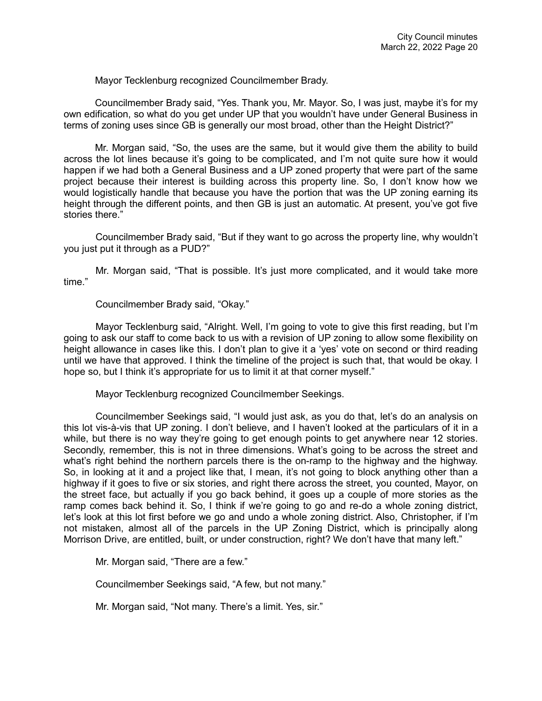Mayor Tecklenburg recognized Councilmember Brady.

Councilmember Brady said, "Yes. Thank you, Mr. Mayor. So, I was just, maybe it's for my own edification, so what do you get under UP that you wouldn't have under General Business in terms of zoning uses since GB is generally our most broad, other than the Height District?"

Mr. Morgan said, "So, the uses are the same, but it would give them the ability to build across the lot lines because it's going to be complicated, and I'm not quite sure how it would happen if we had both a General Business and a UP zoned property that were part of the same project because their interest is building across this property line. So, I don't know how we would logistically handle that because you have the portion that was the UP zoning earning its height through the different points, and then GB is just an automatic. At present, you've got five stories there."

Councilmember Brady said, "But if they want to go across the property line, why wouldn't you just put it through as a PUD?"

Mr. Morgan said, "That is possible. It's just more complicated, and it would take more time."

Councilmember Brady said, "Okay."

Mayor Tecklenburg said, "Alright. Well, I'm going to vote to give this first reading, but I'm going to ask our staff to come back to us with a revision of UP zoning to allow some flexibility on height allowance in cases like this. I don't plan to give it a 'yes' vote on second or third reading until we have that approved. I think the timeline of the project is such that, that would be okay. I hope so, but I think it's appropriate for us to limit it at that corner myself."

Mayor Tecklenburg recognized Councilmember Seekings.

Councilmember Seekings said, "I would just ask, as you do that, let's do an analysis on this lot vis-à-vis that UP zoning. I don't believe, and I haven't looked at the particulars of it in a while, but there is no way they're going to get enough points to get anywhere near 12 stories. Secondly, remember, this is not in three dimensions. What's going to be across the street and what's right behind the northern parcels there is the on-ramp to the highway and the highway. So, in looking at it and a project like that, I mean, it's not going to block anything other than a highway if it goes to five or six stories, and right there across the street, you counted, Mayor, on the street face, but actually if you go back behind, it goes up a couple of more stories as the ramp comes back behind it. So, I think if we're going to go and re-do a whole zoning district, let's look at this lot first before we go and undo a whole zoning district. Also, Christopher, if I'm not mistaken, almost all of the parcels in the UP Zoning District, which is principally along Morrison Drive, are entitled, built, or under construction, right? We don't have that many left."

Mr. Morgan said, "There are a few."

Councilmember Seekings said, "A few, but not many."

Mr. Morgan said, "Not many. There's a limit. Yes, sir."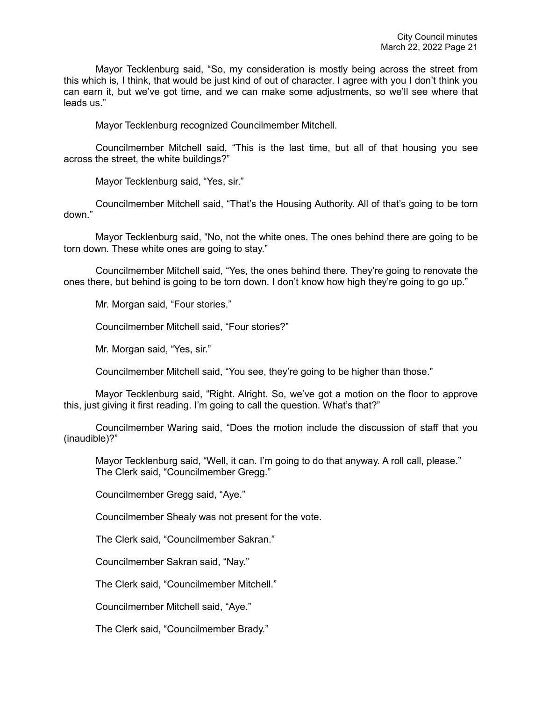Mayor Tecklenburg said, "So, my consideration is mostly being across the street from this which is, I think, that would be just kind of out of character. I agree with you I don't think you can earn it, but we've got time, and we can make some adjustments, so we'll see where that leads us."

Mayor Tecklenburg recognized Councilmember Mitchell.

Councilmember Mitchell said, "This is the last time, but all of that housing you see across the street, the white buildings?"

Mayor Tecklenburg said, "Yes, sir."

Councilmember Mitchell said, "That's the Housing Authority. All of that's going to be torn down."

Mayor Tecklenburg said, "No, not the white ones. The ones behind there are going to be torn down. These white ones are going to stay."

Councilmember Mitchell said, "Yes, the ones behind there. They're going to renovate the ones there, but behind is going to be torn down. I don't know how high they're going to go up."

Mr. Morgan said, "Four stories."

Councilmember Mitchell said, "Four stories?"

Mr. Morgan said, "Yes, sir."

Councilmember Mitchell said, "You see, they're going to be higher than those."

Mayor Tecklenburg said, "Right. Alright. So, we've got a motion on the floor to approve this, just giving it first reading. I'm going to call the question. What's that?"

Councilmember Waring said, "Does the motion include the discussion of staff that you (inaudible)?"

Mayor Tecklenburg said, "Well, it can. I'm going to do that anyway. A roll call, please." The Clerk said, "Councilmember Gregg."

Councilmember Gregg said, "Aye."

Councilmember Shealy was not present for the vote.

The Clerk said, "Councilmember Sakran."

Councilmember Sakran said, "Nay."

The Clerk said, "Councilmember Mitchell."

Councilmember Mitchell said, "Aye."

The Clerk said, "Councilmember Brady."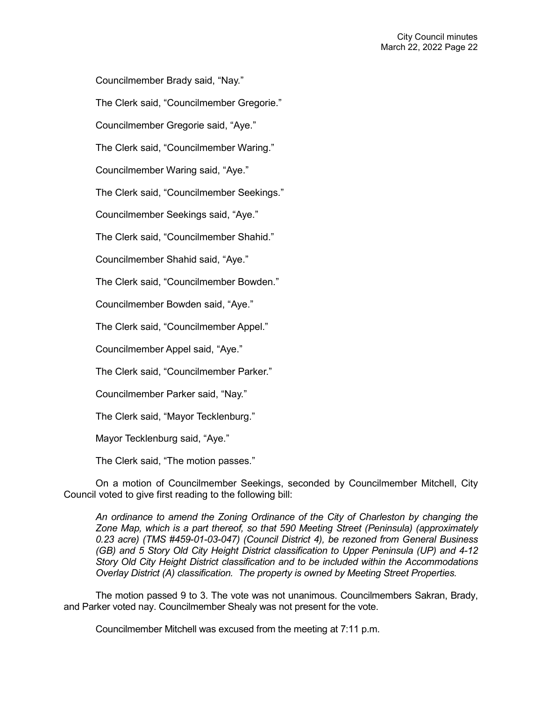Councilmember Brady said, "Nay."

The Clerk said, "Councilmember Gregorie."

Councilmember Gregorie said, "Aye."

The Clerk said, "Councilmember Waring."

Councilmember Waring said, "Aye."

The Clerk said, "Councilmember Seekings."

Councilmember Seekings said, "Aye."

The Clerk said, "Councilmember Shahid."

Councilmember Shahid said, "Aye."

The Clerk said, "Councilmember Bowden."

Councilmember Bowden said, "Aye."

The Clerk said, "Councilmember Appel."

Councilmember Appel said, "Aye."

The Clerk said, "Councilmember Parker."

Councilmember Parker said, "Nay."

The Clerk said, "Mayor Tecklenburg."

Mayor Tecklenburg said, "Aye."

The Clerk said, "The motion passes."

On a motion of Councilmember Seekings, seconded by Councilmember Mitchell, City Council voted to give first reading to the following bill:

*An ordinance to amend the Zoning Ordinance of the City of Charleston by changing the Zone Map, which is a part thereof, so that 590 Meeting Street (Peninsula) (approximately 0.23 acre) (TMS #459-01-03-047) (Council District 4), be rezoned from General Business (GB) and 5 Story Old City Height District classification to Upper Peninsula (UP) and 4-12 Story Old City Height District classification and to be included within the Accommodations Overlay District (A) classification. The property is owned by Meeting Street Properties.* 

The motion passed 9 to 3. The vote was not unanimous. Councilmembers Sakran, Brady, and Parker voted nay. Councilmember Shealy was not present for the vote.

Councilmember Mitchell was excused from the meeting at 7:11 p.m.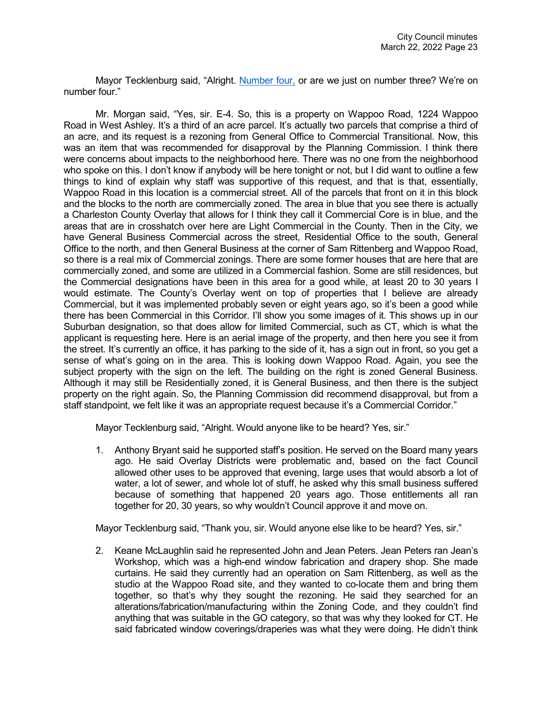Mayor Tecklenburg said, "Alright. [Number four,](https://youtu.be/sTB0yK2IJ2Y?t=4402) or are we just on number three? We're on number four."

Mr. Morgan said, "Yes, sir. E-4. So, this is a property on Wappoo Road, 1224 Wappoo Road in West Ashley. It's a third of an acre parcel. It's actually two parcels that comprise a third of an acre, and its request is a rezoning from General Office to Commercial Transitional. Now, this was an item that was recommended for disapproval by the Planning Commission. I think there were concerns about impacts to the neighborhood here. There was no one from the neighborhood who spoke on this. I don't know if anybody will be here tonight or not, but I did want to outline a few things to kind of explain why staff was supportive of this request, and that is that, essentially, Wappoo Road in this location is a commercial street. All of the parcels that front on it in this block and the blocks to the north are commercially zoned. The area in blue that you see there is actually a Charleston County Overlay that allows for I think they call it Commercial Core is in blue, and the areas that are in crosshatch over here are Light Commercial in the County. Then in the City, we have General Business Commercial across the street, Residential Office to the south, General Office to the north, and then General Business at the corner of Sam Rittenberg and Wappoo Road, so there is a real mix of Commercial zonings. There are some former houses that are here that are commercially zoned, and some are utilized in a Commercial fashion. Some are still residences, but the Commercial designations have been in this area for a good while, at least 20 to 30 years I would estimate. The County's Overlay went on top of properties that I believe are already Commercial, but it was implemented probably seven or eight years ago, so it's been a good while there has been Commercial in this Corridor. I'll show you some images of it. This shows up in our Suburban designation, so that does allow for limited Commercial, such as CT, which is what the applicant is requesting here. Here is an aerial image of the property, and then here you see it from the street. It's currently an office, it has parking to the side of it, has a sign out in front, so you get a sense of what's going on in the area. This is looking down Wappoo Road. Again, you see the subject property with the sign on the left. The building on the right is zoned General Business. Although it may still be Residentially zoned, it is General Business, and then there is the subject property on the right again. So, the Planning Commission did recommend disapproval, but from a staff standpoint, we felt like it was an appropriate request because it's a Commercial Corridor."

Mayor Tecklenburg said, "Alright. Would anyone like to be heard? Yes, sir."

1. Anthony Bryant said he supported staff's position. He served on the Board many years ago. He said Overlay Districts were problematic and, based on the fact Council allowed other uses to be approved that evening, large uses that would absorb a lot of water, a lot of sewer, and whole lot of stuff, he asked why this small business suffered because of something that happened 20 years ago. Those entitlements all ran together for 20, 30 years, so why wouldn't Council approve it and move on.

Mayor Tecklenburg said, "Thank you, sir. Would anyone else like to be heard? Yes, sir."

2. Keane McLaughlin said he represented John and Jean Peters. Jean Peters ran Jean's Workshop, which was a high-end window fabrication and drapery shop. She made curtains. He said they currently had an operation on Sam Rittenberg, as well as the studio at the Wappoo Road site, and they wanted to co-locate them and bring them together, so that's why they sought the rezoning. He said they searched for an alterations/fabrication/manufacturing within the Zoning Code, and they couldn't find anything that was suitable in the GO category, so that was why they looked for CT. He said fabricated window coverings/draperies was what they were doing. He didn't think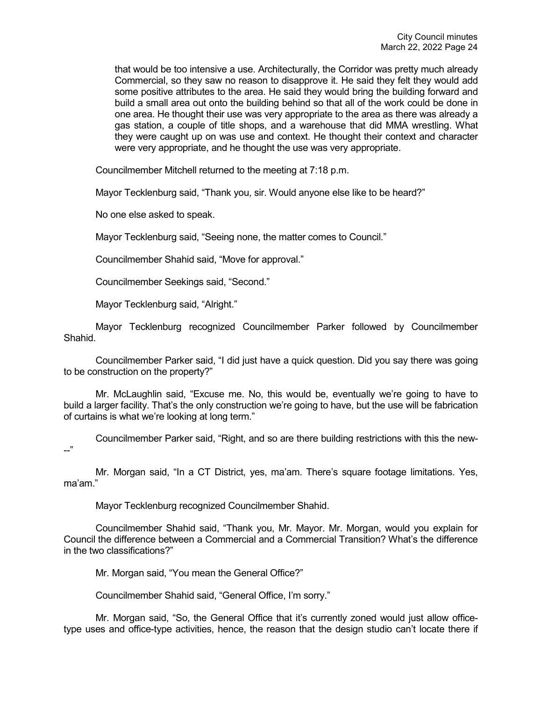that would be too intensive a use. Architecturally, the Corridor was pretty much already Commercial, so they saw no reason to disapprove it. He said they felt they would add some positive attributes to the area. He said they would bring the building forward and build a small area out onto the building behind so that all of the work could be done in one area. He thought their use was very appropriate to the area as there was already a gas station, a couple of title shops, and a warehouse that did MMA wrestling. What they were caught up on was use and context. He thought their context and character were very appropriate, and he thought the use was very appropriate.

Councilmember Mitchell returned to the meeting at 7:18 p.m.

Mayor Tecklenburg said, "Thank you, sir. Would anyone else like to be heard?"

No one else asked to speak.

Mayor Tecklenburg said, "Seeing none, the matter comes to Council."

Councilmember Shahid said, "Move for approval."

Councilmember Seekings said, "Second."

Mayor Tecklenburg said, "Alright."

Mayor Tecklenburg recognized Councilmember Parker followed by Councilmember Shahid.

Councilmember Parker said, "I did just have a quick question. Did you say there was going to be construction on the property?"

Mr. McLaughlin said, "Excuse me. No, this would be, eventually we're going to have to build a larger facility. That's the only construction we're going to have, but the use will be fabrication of curtains is what we're looking at long term."

Councilmember Parker said, "Right, and so are there building restrictions with this the new- --"

Mr. Morgan said, "In a CT District, yes, ma'am. There's square footage limitations. Yes, ma'am."

Mayor Tecklenburg recognized Councilmember Shahid.

Councilmember Shahid said, "Thank you, Mr. Mayor. Mr. Morgan, would you explain for Council the difference between a Commercial and a Commercial Transition? What's the difference in the two classifications?"

Mr. Morgan said, "You mean the General Office?"

Councilmember Shahid said, "General Office, I'm sorry."

Mr. Morgan said, "So, the General Office that it's currently zoned would just allow officetype uses and office-type activities, hence, the reason that the design studio can't locate there if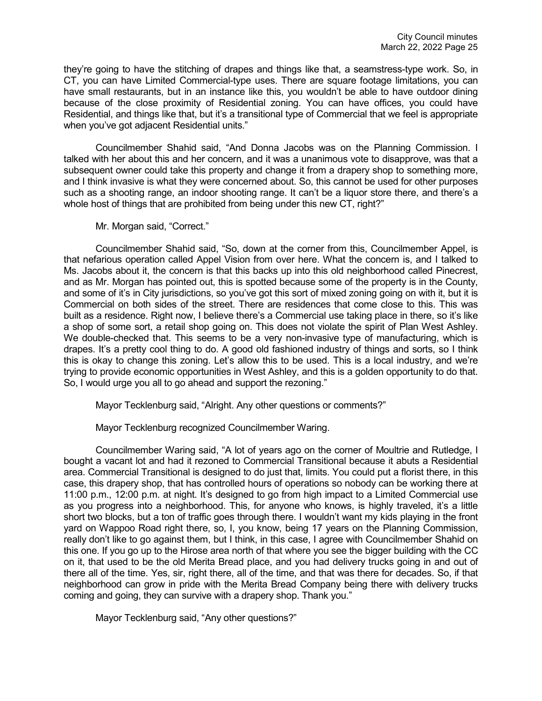they're going to have the stitching of drapes and things like that, a seamstress-type work. So, in CT, you can have Limited Commercial-type uses. There are square footage limitations, you can have small restaurants, but in an instance like this, you wouldn't be able to have outdoor dining because of the close proximity of Residential zoning. You can have offices, you could have Residential, and things like that, but it's a transitional type of Commercial that we feel is appropriate when you've got adjacent Residential units."

Councilmember Shahid said, "And Donna Jacobs was on the Planning Commission. I talked with her about this and her concern, and it was a unanimous vote to disapprove, was that a subsequent owner could take this property and change it from a drapery shop to something more, and I think invasive is what they were concerned about. So, this cannot be used for other purposes such as a shooting range, an indoor shooting range. It can't be a liquor store there, and there's a whole host of things that are prohibited from being under this new CT, right?"

Mr. Morgan said, "Correct."

Councilmember Shahid said, "So, down at the corner from this, Councilmember Appel, is that nefarious operation called Appel Vision from over here. What the concern is, and I talked to Ms. Jacobs about it, the concern is that this backs up into this old neighborhood called Pinecrest, and as Mr. Morgan has pointed out, this is spotted because some of the property is in the County, and some of it's in City jurisdictions, so you've got this sort of mixed zoning going on with it, but it is Commercial on both sides of the street. There are residences that come close to this. This was built as a residence. Right now, I believe there's a Commercial use taking place in there, so it's like a shop of some sort, a retail shop going on. This does not violate the spirit of Plan West Ashley. We double-checked that. This seems to be a very non-invasive type of manufacturing, which is drapes. It's a pretty cool thing to do. A good old fashioned industry of things and sorts, so I think this is okay to change this zoning. Let's allow this to be used. This is a local industry, and we're trying to provide economic opportunities in West Ashley, and this is a golden opportunity to do that. So, I would urge you all to go ahead and support the rezoning."

Mayor Tecklenburg said, "Alright. Any other questions or comments?"

Mayor Tecklenburg recognized Councilmember Waring.

Councilmember Waring said, "A lot of years ago on the corner of Moultrie and Rutledge, I bought a vacant lot and had it rezoned to Commercial Transitional because it abuts a Residential area. Commercial Transitional is designed to do just that, limits. You could put a florist there, in this case, this drapery shop, that has controlled hours of operations so nobody can be working there at 11:00 p.m., 12:00 p.m. at night. It's designed to go from high impact to a Limited Commercial use as you progress into a neighborhood. This, for anyone who knows, is highly traveled, it's a little short two blocks, but a ton of traffic goes through there. I wouldn't want my kids playing in the front yard on Wappoo Road right there, so, I, you know, being 17 years on the Planning Commission, really don't like to go against them, but I think, in this case, I agree with Councilmember Shahid on this one. If you go up to the Hirose area north of that where you see the bigger building with the CC on it, that used to be the old Merita Bread place, and you had delivery trucks going in and out of there all of the time. Yes, sir, right there, all of the time, and that was there for decades. So, if that neighborhood can grow in pride with the Merita Bread Company being there with delivery trucks coming and going, they can survive with a drapery shop. Thank you."

Mayor Tecklenburg said, "Any other questions?"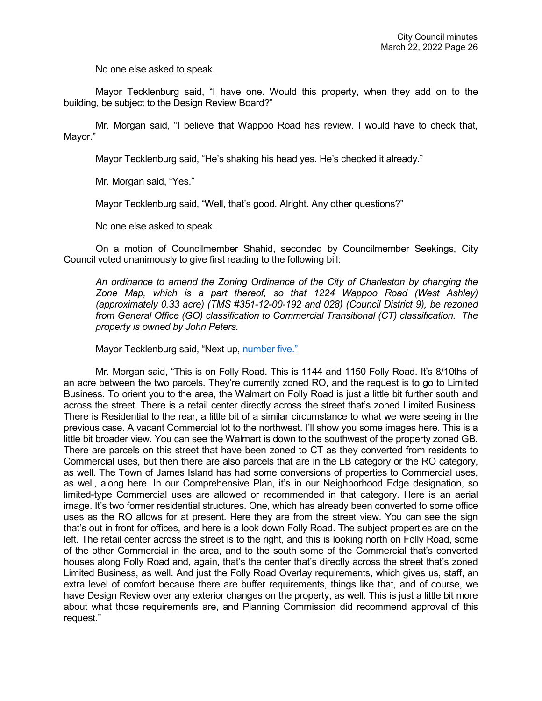No one else asked to speak.

Mayor Tecklenburg said, "I have one. Would this property, when they add on to the building, be subject to the Design Review Board?"

Mr. Morgan said, "I believe that Wappoo Road has review. I would have to check that, Mayor."

Mayor Tecklenburg said, "He's shaking his head yes. He's checked it already."

Mr. Morgan said, "Yes."

Mayor Tecklenburg said, "Well, that's good. Alright. Any other questions?"

No one else asked to speak.

On a motion of Councilmember Shahid, seconded by Councilmember Seekings, City Council voted unanimously to give first reading to the following bill:

*An ordinance to amend the Zoning Ordinance of the City of Charleston by changing the Zone Map, which is a part thereof, so that 1224 Wappoo Road (West Ashley) (approximately 0.33 acre) (TMS #351-12-00-192 and 028) (Council District 9), be rezoned from General Office (GO) classification to Commercial Transitional (CT) classification. The property is owned by John Peters.* 

Mayor Tecklenburg said, "Next up, [number five."](https://youtu.be/sTB0yK2IJ2Y?t=5056)

Mr. Morgan said, "This is on Folly Road. This is 1144 and 1150 Folly Road. It's 8/10ths of an acre between the two parcels. They're currently zoned RO, and the request is to go to Limited Business. To orient you to the area, the Walmart on Folly Road is just a little bit further south and across the street. There is a retail center directly across the street that's zoned Limited Business. There is Residential to the rear, a little bit of a similar circumstance to what we were seeing in the previous case. A vacant Commercial lot to the northwest. I'll show you some images here. This is a little bit broader view. You can see the Walmart is down to the southwest of the property zoned GB. There are parcels on this street that have been zoned to CT as they converted from residents to Commercial uses, but then there are also parcels that are in the LB category or the RO category, as well. The Town of James Island has had some conversions of properties to Commercial uses, as well, along here. In our Comprehensive Plan, it's in our Neighborhood Edge designation, so limited-type Commercial uses are allowed or recommended in that category. Here is an aerial image. It's two former residential structures. One, which has already been converted to some office uses as the RO allows for at present. Here they are from the street view. You can see the sign that's out in front for offices, and here is a look down Folly Road. The subject properties are on the left. The retail center across the street is to the right, and this is looking north on Folly Road, some of the other Commercial in the area, and to the south some of the Commercial that's converted houses along Folly Road and, again, that's the center that's directly across the street that's zoned Limited Business, as well. And just the Folly Road Overlay requirements, which gives us, staff, an extra level of comfort because there are buffer requirements, things like that, and of course, we have Design Review over any exterior changes on the property, as well. This is just a little bit more about what those requirements are, and Planning Commission did recommend approval of this request."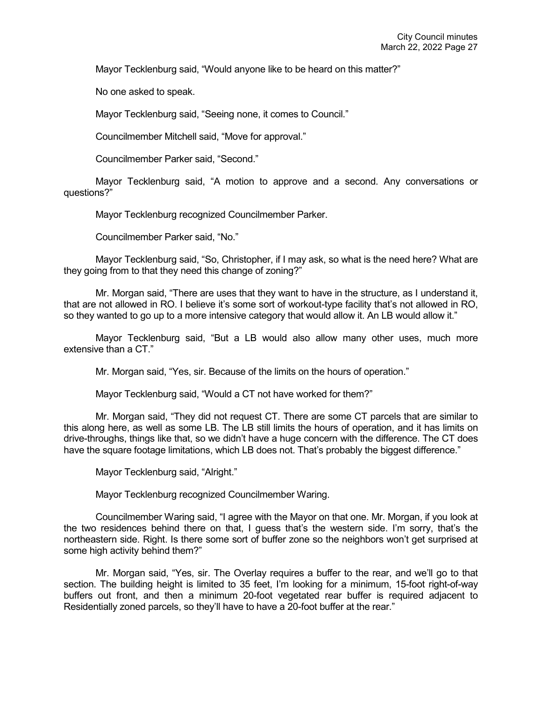Mayor Tecklenburg said, "Would anyone like to be heard on this matter?"

No one asked to speak.

Mayor Tecklenburg said, "Seeing none, it comes to Council."

Councilmember Mitchell said, "Move for approval."

Councilmember Parker said, "Second."

Mayor Tecklenburg said, "A motion to approve and a second. Any conversations or questions?"

Mayor Tecklenburg recognized Councilmember Parker.

Councilmember Parker said, "No."

Mayor Tecklenburg said, "So, Christopher, if I may ask, so what is the need here? What are they going from to that they need this change of zoning?"

Mr. Morgan said, "There are uses that they want to have in the structure, as I understand it, that are not allowed in RO. I believe it's some sort of workout-type facility that's not allowed in RO, so they wanted to go up to a more intensive category that would allow it. An LB would allow it."

Mayor Tecklenburg said, "But a LB would also allow many other uses, much more extensive than a CT."

Mr. Morgan said, "Yes, sir. Because of the limits on the hours of operation."

Mayor Tecklenburg said, "Would a CT not have worked for them?"

Mr. Morgan said, "They did not request CT. There are some CT parcels that are similar to this along here, as well as some LB. The LB still limits the hours of operation, and it has limits on drive-throughs, things like that, so we didn't have a huge concern with the difference. The CT does have the square footage limitations, which LB does not. That's probably the biggest difference."

Mayor Tecklenburg said, "Alright."

Mayor Tecklenburg recognized Councilmember Waring.

Councilmember Waring said, "I agree with the Mayor on that one. Mr. Morgan, if you look at the two residences behind there on that, I guess that's the western side. I'm sorry, that's the northeastern side. Right. Is there some sort of buffer zone so the neighbors won't get surprised at some high activity behind them?"

Mr. Morgan said, "Yes, sir. The Overlay requires a buffer to the rear, and we'll go to that section. The building height is limited to 35 feet, I'm looking for a minimum, 15-foot right-of-way buffers out front, and then a minimum 20-foot vegetated rear buffer is required adjacent to Residentially zoned parcels, so they'll have to have a 20-foot buffer at the rear."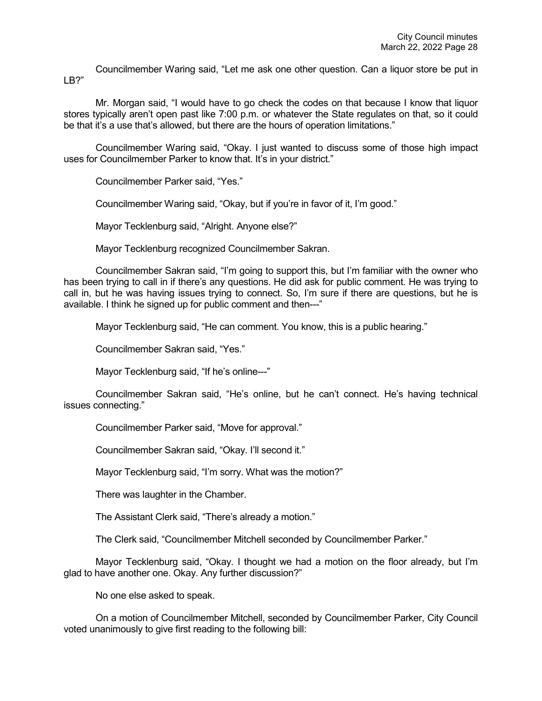Councilmember Waring said, "Let me ask one other question. Can a liquor store be put in LB?"

Mr. Morgan said, "I would have to go check the codes on that because I know that liquor stores typically aren't open past like 7:00 p.m. or whatever the State regulates on that, so it could be that it's a use that's allowed, but there are the hours of operation limitations."

Councilmember Waring said, "Okay. I just wanted to discuss some of those high impact uses for Councilmember Parker to know that. It's in your district."

Councilmember Parker said, "Yes."

Councilmember Waring said, "Okay, but if you're in favor of it, I'm good."

Mayor Tecklenburg said, "Alright. Anyone else?"

Mayor Tecklenburg recognized Councilmember Sakran.

Councilmember Sakran said, "I'm going to support this, but I'm familiar with the owner who has been trying to call in if there's any questions. He did ask for public comment. He was trying to call in, but he was having issues trying to connect. So, I'm sure if there are questions, but he is available. I think he signed up for public comment and then---"

Mayor Tecklenburg said, "He can comment. You know, this is a public hearing."

Councilmember Sakran said, "Yes."

Mayor Tecklenburg said, "If he's online---"

Councilmember Sakran said, "He's online, but he can't connect. He's having technical issues connecting."

Councilmember Parker said, "Move for approval."

Councilmember Sakran said, "Okay. I'll second it."

Mayor Tecklenburg said, "I'm sorry. What was the motion?"

There was laughter in the Chamber.

The Assistant Clerk said, "There's already a motion."

The Clerk said, "Councilmember Mitchell seconded by Councilmember Parker."

Mayor Tecklenburg said, "Okay. I thought we had a motion on the floor already, but I'm glad to have another one. Okay. Any further discussion?"

No one else asked to speak.

On a motion of Councilmember Mitchell, seconded by Councilmember Parker, City Council voted unanimously to give first reading to the following bill: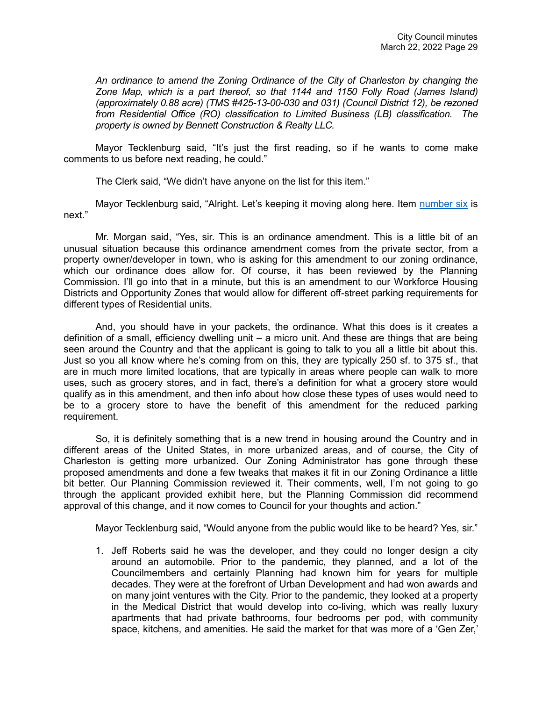*An ordinance to amend the Zoning Ordinance of the City of Charleston by changing the Zone Map, which is a part thereof, so that 1144 and 1150 Folly Road (James Island) (approximately 0.88 acre) (TMS #425-13-00-030 and 031) (Council District 12), be rezoned from Residential Office (RO) classification to Limited Business (LB) classification. The property is owned by Bennett Construction & Realty LLC.* 

Mayor Tecklenburg said, "It's just the first reading, so if he wants to come make comments to us before next reading, he could."

The Clerk said, "We didn't have anyone on the list for this item."

Mayor Tecklenburg said, "Alright. Let's keeping it moving along here. Item [number six](https://www.youtube.com/watch?v=sTB0yK2IJ2Y&t=8123s) is next."

Mr. Morgan said, "Yes, sir. This is an ordinance amendment. This is a little bit of an unusual situation because this ordinance amendment comes from the private sector, from a property owner/developer in town, who is asking for this amendment to our zoning ordinance, which our ordinance does allow for. Of course, it has been reviewed by the Planning Commission. I'll go into that in a minute, but this is an amendment to our Workforce Housing Districts and Opportunity Zones that would allow for different off-street parking requirements for different types of Residential units.

And, you should have in your packets, the ordinance. What this does is it creates a definition of a small, efficiency dwelling unit – a micro unit. And these are things that are being seen around the Country and that the applicant is going to talk to you all a little bit about this. Just so you all know where he's coming from on this, they are typically 250 sf. to 375 sf., that are in much more limited locations, that are typically in areas where people can walk to more uses, such as grocery stores, and in fact, there's a definition for what a grocery store would qualify as in this amendment, and then info about how close these types of uses would need to be to a grocery store to have the benefit of this amendment for the reduced parking requirement.

So, it is definitely something that is a new trend in housing around the Country and in different areas of the United States, in more urbanized areas, and of course, the City of Charleston is getting more urbanized. Our Zoning Administrator has gone through these proposed amendments and done a few tweaks that makes it fit in our Zoning Ordinance a little bit better. Our Planning Commission reviewed it. Their comments, well, I'm not going to go through the applicant provided exhibit here, but the Planning Commission did recommend approval of this change, and it now comes to Council for your thoughts and action."

Mayor Tecklenburg said, "Would anyone from the public would like to be heard? Yes, sir."

1. Jeff Roberts said he was the developer, and they could no longer design a city around an automobile. Prior to the pandemic, they planned, and a lot of the Councilmembers and certainly Planning had known him for years for multiple decades. They were at the forefront of Urban Development and had won awards and on many joint ventures with the City. Prior to the pandemic, they looked at a property in the Medical District that would develop into co-living, which was really luxury apartments that had private bathrooms, four bedrooms per pod, with community space, kitchens, and amenities. He said the market for that was more of a 'Gen Zer,'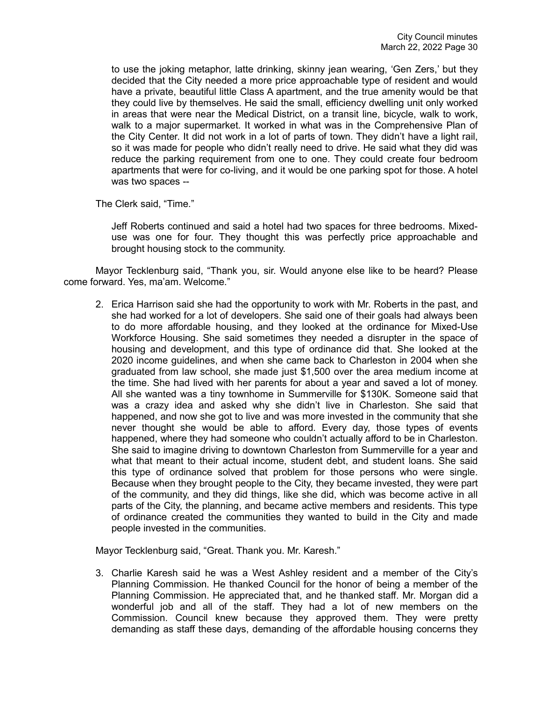to use the joking metaphor, latte drinking, skinny jean wearing, 'Gen Zers,' but they decided that the City needed a more price approachable type of resident and would have a private, beautiful little Class A apartment, and the true amenity would be that they could live by themselves. He said the small, efficiency dwelling unit only worked in areas that were near the Medical District, on a transit line, bicycle, walk to work, walk to a major supermarket. It worked in what was in the Comprehensive Plan of the City Center. It did not work in a lot of parts of town. They didn't have a light rail, so it was made for people who didn't really need to drive. He said what they did was reduce the parking requirement from one to one. They could create four bedroom apartments that were for co-living, and it would be one parking spot for those. A hotel was two spaces --

The Clerk said, "Time."

Jeff Roberts continued and said a hotel had two spaces for three bedrooms. Mixeduse was one for four. They thought this was perfectly price approachable and brought housing stock to the community.

Mayor Tecklenburg said, "Thank you, sir. Would anyone else like to be heard? Please come forward. Yes, ma'am. Welcome."

2. Erica Harrison said she had the opportunity to work with Mr. Roberts in the past, and she had worked for a lot of developers. She said one of their goals had always been to do more affordable housing, and they looked at the ordinance for Mixed-Use Workforce Housing. She said sometimes they needed a disrupter in the space of housing and development, and this type of ordinance did that. She looked at the 2020 income guidelines, and when she came back to Charleston in 2004 when she graduated from law school, she made just \$1,500 over the area medium income at the time. She had lived with her parents for about a year and saved a lot of money. All she wanted was a tiny townhome in Summerville for \$130K. Someone said that was a crazy idea and asked why she didn't live in Charleston. She said that happened, and now she got to live and was more invested in the community that she never thought she would be able to afford. Every day, those types of events happened, where they had someone who couldn't actually afford to be in Charleston. She said to imagine driving to downtown Charleston from Summerville for a year and what that meant to their actual income, student debt, and student loans. She said this type of ordinance solved that problem for those persons who were single. Because when they brought people to the City, they became invested, they were part of the community, and they did things, like she did, which was become active in all parts of the City, the planning, and became active members and residents. This type of ordinance created the communities they wanted to build in the City and made people invested in the communities.

Mayor Tecklenburg said, "Great. Thank you. Mr. Karesh."

3. Charlie Karesh said he was a West Ashley resident and a member of the City's Planning Commission. He thanked Council for the honor of being a member of the Planning Commission. He appreciated that, and he thanked staff. Mr. Morgan did a wonderful job and all of the staff. They had a lot of new members on the Commission. Council knew because they approved them. They were pretty demanding as staff these days, demanding of the affordable housing concerns they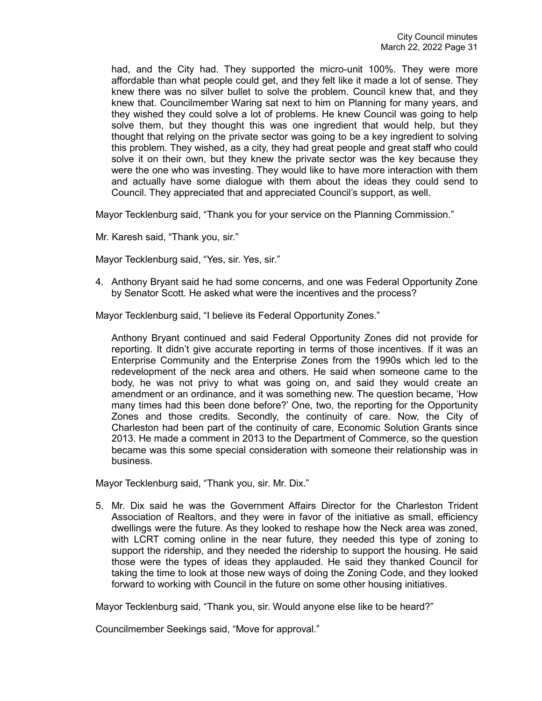had, and the City had. They supported the micro-unit 100%. They were more affordable than what people could get, and they felt like it made a lot of sense. They knew there was no silver bullet to solve the problem. Council knew that, and they knew that. Councilmember Waring sat next to him on Planning for many years, and they wished they could solve a lot of problems. He knew Council was going to help solve them, but they thought this was one ingredient that would help, but they thought that relying on the private sector was going to be a key ingredient to solving this problem. They wished, as a city, they had great people and great staff who could solve it on their own, but they knew the private sector was the key because they were the one who was investing. They would like to have more interaction with them and actually have some dialogue with them about the ideas they could send to Council. They appreciated that and appreciated Council's support, as well.

Mayor Tecklenburg said, "Thank you for your service on the Planning Commission."

Mr. Karesh said, "Thank you, sir."

Mayor Tecklenburg said, "Yes, sir. Yes, sir."

4. Anthony Bryant said he had some concerns, and one was Federal Opportunity Zone by Senator Scott. He asked what were the incentives and the process?

Mayor Tecklenburg said, "I believe its Federal Opportunity Zones."

Anthony Bryant continued and said Federal Opportunity Zones did not provide for reporting. It didn't give accurate reporting in terms of those incentives. If it was an Enterprise Community and the Enterprise Zones from the 1990s which led to the redevelopment of the neck area and others. He said when someone came to the body, he was not privy to what was going on, and said they would create an amendment or an ordinance, and it was something new. The question became, 'How many times had this been done before?' One, two, the reporting for the Opportunity Zones and those credits. Secondly, the continuity of care. Now, the City of Charleston had been part of the continuity of care, Economic Solution Grants since 2013. He made a comment in 2013 to the Department of Commerce, so the question became was this some special consideration with someone their relationship was in business.

Mayor Tecklenburg said, "Thank you, sir. Mr. Dix."

5. Mr. Dix said he was the Government Affairs Director for the Charleston Trident Association of Realtors, and they were in favor of the initiative as small, efficiency dwellings were the future. As they looked to reshape how the Neck area was zoned, with LCRT coming online in the near future, they needed this type of zoning to support the ridership, and they needed the ridership to support the housing. He said those were the types of ideas they applauded. He said they thanked Council for taking the time to look at those new ways of doing the Zoning Code, and they looked forward to working with Council in the future on some other housing initiatives.

Mayor Tecklenburg said, "Thank you, sir. Would anyone else like to be heard?"

Councilmember Seekings said, "Move for approval."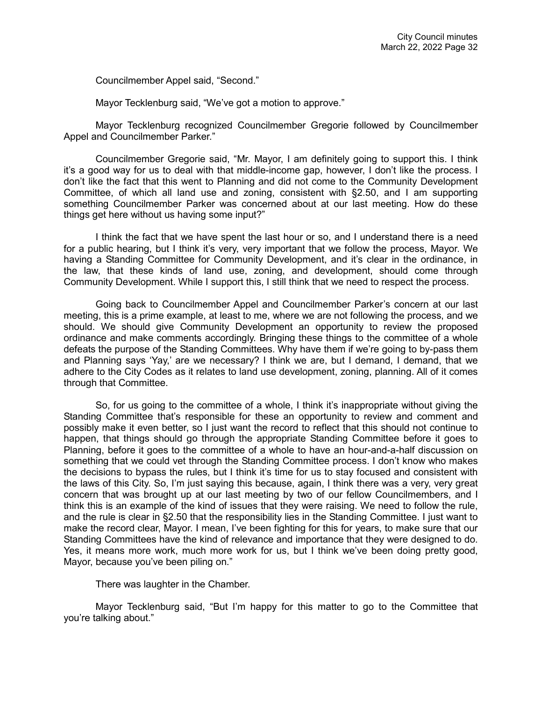Councilmember Appel said, "Second."

Mayor Tecklenburg said, "We've got a motion to approve."

Mayor Tecklenburg recognized Councilmember Gregorie followed by Councilmember Appel and Councilmember Parker."

Councilmember Gregorie said, "Mr. Mayor, I am definitely going to support this. I think it's a good way for us to deal with that middle-income gap, however, I don't like the process. I don't like the fact that this went to Planning and did not come to the Community Development Committee, of which all land use and zoning, consistent with §2.50, and I am supporting something Councilmember Parker was concerned about at our last meeting. How do these things get here without us having some input?"

I think the fact that we have spent the last hour or so, and I understand there is a need for a public hearing, but I think it's very, very important that we follow the process, Mayor. We having a Standing Committee for Community Development, and it's clear in the ordinance, in the law, that these kinds of land use, zoning, and development, should come through Community Development. While I support this, I still think that we need to respect the process.

Going back to Councilmember Appel and Councilmember Parker's concern at our last meeting, this is a prime example, at least to me, where we are not following the process, and we should. We should give Community Development an opportunity to review the proposed ordinance and make comments accordingly. Bringing these things to the committee of a whole defeats the purpose of the Standing Committees. Why have them if we're going to by-pass them and Planning says 'Yay,' are we necessary? I think we are, but I demand, I demand, that we adhere to the City Codes as it relates to land use development, zoning, planning. All of it comes through that Committee.

So, for us going to the committee of a whole, I think it's inappropriate without giving the Standing Committee that's responsible for these an opportunity to review and comment and possibly make it even better, so I just want the record to reflect that this should not continue to happen, that things should go through the appropriate Standing Committee before it goes to Planning, before it goes to the committee of a whole to have an hour-and-a-half discussion on something that we could vet through the Standing Committee process. I don't know who makes the decisions to bypass the rules, but I think it's time for us to stay focused and consistent with the laws of this City. So, I'm just saying this because, again, I think there was a very, very great concern that was brought up at our last meeting by two of our fellow Councilmembers, and I think this is an example of the kind of issues that they were raising. We need to follow the rule, and the rule is clear in §2.50 that the responsibility lies in the Standing Committee. I just want to make the record clear, Mayor. I mean, I've been fighting for this for years, to make sure that our Standing Committees have the kind of relevance and importance that they were designed to do. Yes, it means more work, much more work for us, but I think we've been doing pretty good, Mayor, because you've been piling on."

There was laughter in the Chamber.

Mayor Tecklenburg said, "But I'm happy for this matter to go to the Committee that you're talking about."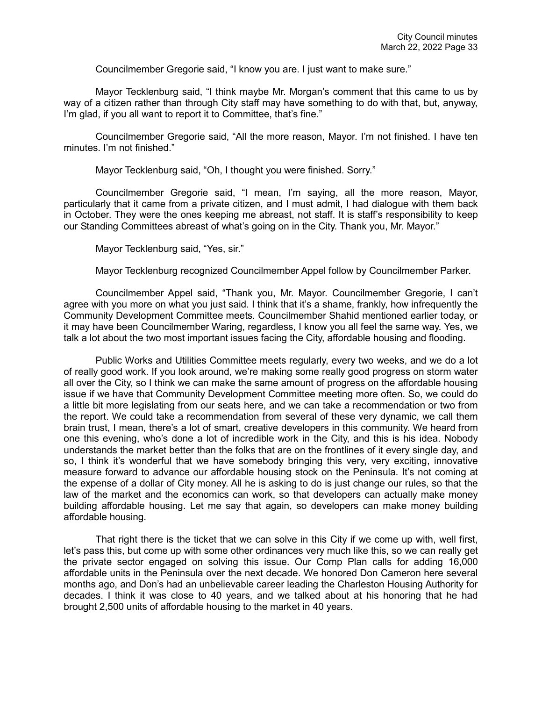Councilmember Gregorie said, "I know you are. I just want to make sure."

Mayor Tecklenburg said, "I think maybe Mr. Morgan's comment that this came to us by way of a citizen rather than through City staff may have something to do with that, but, anyway, I'm glad, if you all want to report it to Committee, that's fine."

Councilmember Gregorie said, "All the more reason, Mayor. I'm not finished. I have ten minutes. I'm not finished."

Mayor Tecklenburg said, "Oh, I thought you were finished. Sorry."

Councilmember Gregorie said, "I mean, I'm saying, all the more reason, Mayor, particularly that it came from a private citizen, and I must admit, I had dialogue with them back in October. They were the ones keeping me abreast, not staff. It is staff's responsibility to keep our Standing Committees abreast of what's going on in the City. Thank you, Mr. Mayor."

Mayor Tecklenburg said, "Yes, sir."

Mayor Tecklenburg recognized Councilmember Appel follow by Councilmember Parker.

Councilmember Appel said, "Thank you, Mr. Mayor. Councilmember Gregorie, I can't agree with you more on what you just said. I think that it's a shame, frankly, how infrequently the Community Development Committee meets. Councilmember Shahid mentioned earlier today, or it may have been Councilmember Waring, regardless, I know you all feel the same way. Yes, we talk a lot about the two most important issues facing the City, affordable housing and flooding.

Public Works and Utilities Committee meets regularly, every two weeks, and we do a lot of really good work. If you look around, we're making some really good progress on storm water all over the City, so I think we can make the same amount of progress on the affordable housing issue if we have that Community Development Committee meeting more often. So, we could do a little bit more legislating from our seats here, and we can take a recommendation or two from the report. We could take a recommendation from several of these very dynamic, we call them brain trust, I mean, there's a lot of smart, creative developers in this community. We heard from one this evening, who's done a lot of incredible work in the City, and this is his idea. Nobody understands the market better than the folks that are on the frontlines of it every single day, and so, I think it's wonderful that we have somebody bringing this very, very exciting, innovative measure forward to advance our affordable housing stock on the Peninsula. It's not coming at the expense of a dollar of City money. All he is asking to do is just change our rules, so that the law of the market and the economics can work, so that developers can actually make money building affordable housing. Let me say that again, so developers can make money building affordable housing.

That right there is the ticket that we can solve in this City if we come up with, well first, let's pass this, but come up with some other ordinances very much like this, so we can really get the private sector engaged on solving this issue. Our Comp Plan calls for adding 16,000 affordable units in the Peninsula over the next decade. We honored Don Cameron here several months ago, and Don's had an unbelievable career leading the Charleston Housing Authority for decades. I think it was close to 40 years, and we talked about at his honoring that he had brought 2,500 units of affordable housing to the market in 40 years.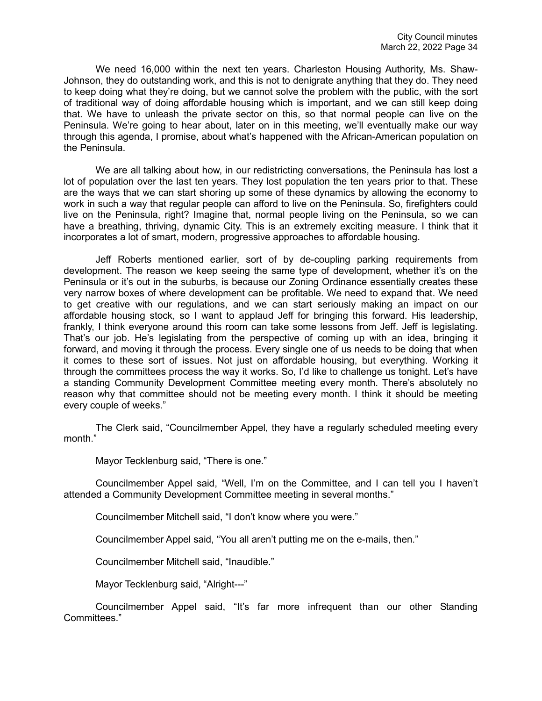We need 16,000 within the next ten years. Charleston Housing Authority, Ms. Shaw-Johnson, they do outstanding work, and this is not to denigrate anything that they do. They need to keep doing what they're doing, but we cannot solve the problem with the public, with the sort of traditional way of doing affordable housing which is important, and we can still keep doing that. We have to unleash the private sector on this, so that normal people can live on the Peninsula. We're going to hear about, later on in this meeting, we'll eventually make our way through this agenda, I promise, about what's happened with the African-American population on the Peninsula.

We are all talking about how, in our redistricting conversations, the Peninsula has lost a lot of population over the last ten years. They lost population the ten years prior to that. These are the ways that we can start shoring up some of these dynamics by allowing the economy to work in such a way that regular people can afford to live on the Peninsula. So, firefighters could live on the Peninsula, right? Imagine that, normal people living on the Peninsula, so we can have a breathing, thriving, dynamic City. This is an extremely exciting measure. I think that it incorporates a lot of smart, modern, progressive approaches to affordable housing.

Jeff Roberts mentioned earlier, sort of by de-coupling parking requirements from development. The reason we keep seeing the same type of development, whether it's on the Peninsula or it's out in the suburbs, is because our Zoning Ordinance essentially creates these very narrow boxes of where development can be profitable. We need to expand that. We need to get creative with our regulations, and we can start seriously making an impact on our affordable housing stock, so I want to applaud Jeff for bringing this forward. His leadership, frankly, I think everyone around this room can take some lessons from Jeff. Jeff is legislating. That's our job. He's legislating from the perspective of coming up with an idea, bringing it forward, and moving it through the process. Every single one of us needs to be doing that when it comes to these sort of issues. Not just on affordable housing, but everything. Working it through the committees process the way it works. So, I'd like to challenge us tonight. Let's have a standing Community Development Committee meeting every month. There's absolutely no reason why that committee should not be meeting every month. I think it should be meeting every couple of weeks."

The Clerk said, "Councilmember Appel, they have a regularly scheduled meeting every month."

Mayor Tecklenburg said, "There is one."

Councilmember Appel said, "Well, I'm on the Committee, and I can tell you I haven't attended a Community Development Committee meeting in several months."

Councilmember Mitchell said, "I don't know where you were."

Councilmember Appel said, "You all aren't putting me on the e-mails, then."

Councilmember Mitchell said, "Inaudible."

Mayor Tecklenburg said, "Alright---"

Councilmember Appel said, "It's far more infrequent than our other Standing Committees."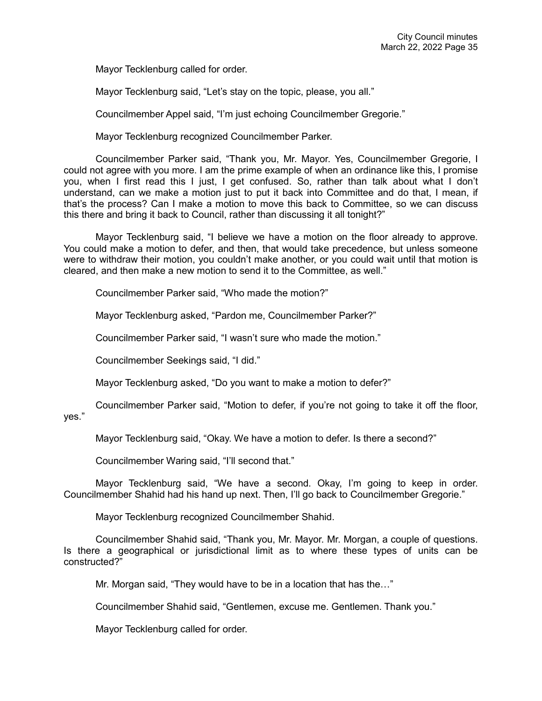Mayor Tecklenburg called for order.

Mayor Tecklenburg said, "Let's stay on the topic, please, you all."

Councilmember Appel said, "I'm just echoing Councilmember Gregorie."

Mayor Tecklenburg recognized Councilmember Parker.

Councilmember Parker said, "Thank you, Mr. Mayor. Yes, Councilmember Gregorie, I could not agree with you more. I am the prime example of when an ordinance like this, I promise you, when I first read this I just, I get confused. So, rather than talk about what I don't understand, can we make a motion just to put it back into Committee and do that, I mean, if that's the process? Can I make a motion to move this back to Committee, so we can discuss this there and bring it back to Council, rather than discussing it all tonight?"

Mayor Tecklenburg said, "I believe we have a motion on the floor already to approve. You could make a motion to defer, and then, that would take precedence, but unless someone were to withdraw their motion, you couldn't make another, or you could wait until that motion is cleared, and then make a new motion to send it to the Committee, as well."

Councilmember Parker said, "Who made the motion?"

Mayor Tecklenburg asked, "Pardon me, Councilmember Parker?"

Councilmember Parker said, "I wasn't sure who made the motion."

Councilmember Seekings said, "I did."

Mayor Tecklenburg asked, "Do you want to make a motion to defer?"

Councilmember Parker said, "Motion to defer, if you're not going to take it off the floor, yes."

Mayor Tecklenburg said, "Okay. We have a motion to defer. Is there a second?"

Councilmember Waring said, "I'll second that."

Mayor Tecklenburg said, "We have a second. Okay, I'm going to keep in order. Councilmember Shahid had his hand up next. Then, I'll go back to Councilmember Gregorie."

Mayor Tecklenburg recognized Councilmember Shahid.

Councilmember Shahid said, "Thank you, Mr. Mayor. Mr. Morgan, a couple of questions. Is there a geographical or jurisdictional limit as to where these types of units can be constructed?"

Mr. Morgan said, "They would have to be in a location that has the…"

Councilmember Shahid said, "Gentlemen, excuse me. Gentlemen. Thank you."

Mayor Tecklenburg called for order.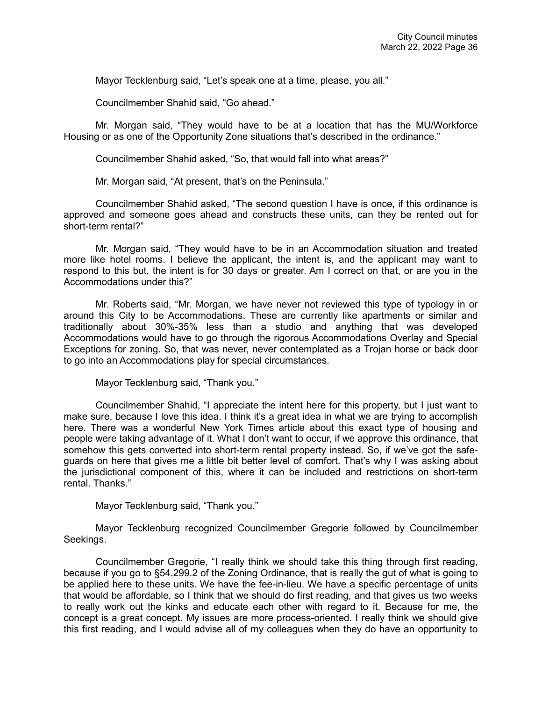Mayor Tecklenburg said, "Let's speak one at a time, please, you all."

Councilmember Shahid said, "Go ahead."

Mr. Morgan said, "They would have to be at a location that has the MU/Workforce Housing or as one of the Opportunity Zone situations that's described in the ordinance."

Councilmember Shahid asked, "So, that would fall into what areas?"

Mr. Morgan said, "At present, that's on the Peninsula."

Councilmember Shahid asked, "The second question I have is once, if this ordinance is approved and someone goes ahead and constructs these units, can they be rented out for short-term rental?"

Mr. Morgan said, "They would have to be in an Accommodation situation and treated more like hotel rooms. I believe the applicant, the intent is, and the applicant may want to respond to this but, the intent is for 30 days or greater. Am I correct on that, or are you in the Accommodations under this?"

Mr. Roberts said, "Mr. Morgan, we have never not reviewed this type of typology in or around this City to be Accommodations. These are currently like apartments or similar and traditionally about 30%-35% less than a studio and anything that was developed Accommodations would have to go through the rigorous Accommodations Overlay and Special Exceptions for zoning. So, that was never, never contemplated as a Trojan horse or back door to go into an Accommodations play for special circumstances.

Mayor Tecklenburg said, "Thank you."

Councilmember Shahid, "I appreciate the intent here for this property, but I just want to make sure, because I love this idea. I think it's a great idea in what we are trying to accomplish here. There was a wonderful New York Times article about this exact type of housing and people were taking advantage of it. What I don't want to occur, if we approve this ordinance, that somehow this gets converted into short-term rental property instead. So, if we've got the safeguards on here that gives me a little bit better level of comfort. That's why I was asking about the jurisdictional component of this, where it can be included and restrictions on short-term rental. Thanks."

Mayor Tecklenburg said, "Thank you."

Mayor Tecklenburg recognized Councilmember Gregorie followed by Councilmember Seekings.

Councilmember Gregorie, "I really think we should take this thing through first reading, because if you go to §54.299.2 of the Zoning Ordinance, that is really the gut of what is going to be applied here to these units. We have the fee-in-lieu. We have a specific percentage of units that would be affordable, so I think that we should do first reading, and that gives us two weeks to really work out the kinks and educate each other with regard to it. Because for me, the concept is a great concept. My issues are more process-oriented. I really think we should give this first reading, and I would advise all of my colleagues when they do have an opportunity to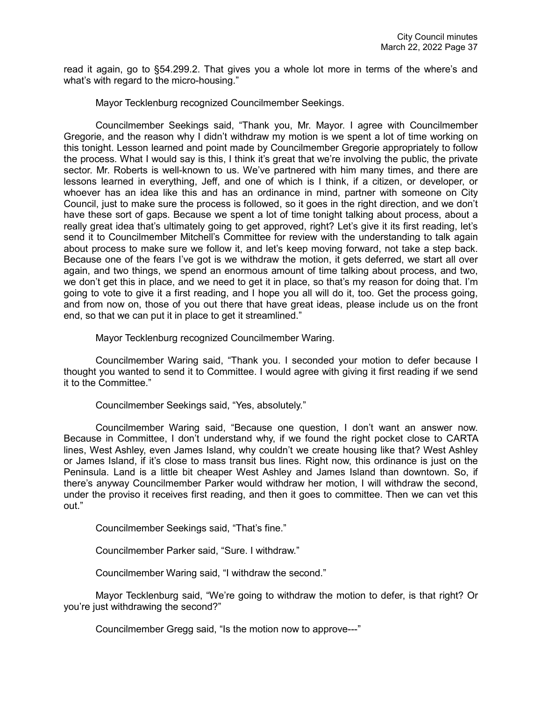read it again, go to §54.299.2. That gives you a whole lot more in terms of the where's and what's with regard to the micro-housing."

Mayor Tecklenburg recognized Councilmember Seekings.

Councilmember Seekings said, "Thank you, Mr. Mayor. I agree with Councilmember Gregorie, and the reason why I didn't withdraw my motion is we spent a lot of time working on this tonight. Lesson learned and point made by Councilmember Gregorie appropriately to follow the process. What I would say is this, I think it's great that we're involving the public, the private sector. Mr. Roberts is well-known to us. We've partnered with him many times, and there are lessons learned in everything, Jeff, and one of which is I think, if a citizen, or developer, or whoever has an idea like this and has an ordinance in mind, partner with someone on City Council, just to make sure the process is followed, so it goes in the right direction, and we don't have these sort of gaps. Because we spent a lot of time tonight talking about process, about a really great idea that's ultimately going to get approved, right? Let's give it its first reading, let's send it to Councilmember Mitchell's Committee for review with the understanding to talk again about process to make sure we follow it, and let's keep moving forward, not take a step back. Because one of the fears I've got is we withdraw the motion, it gets deferred, we start all over again, and two things, we spend an enormous amount of time talking about process, and two, we don't get this in place, and we need to get it in place, so that's my reason for doing that. I'm going to vote to give it a first reading, and I hope you all will do it, too. Get the process going, and from now on, those of you out there that have great ideas, please include us on the front end, so that we can put it in place to get it streamlined."

Mayor Tecklenburg recognized Councilmember Waring.

Councilmember Waring said, "Thank you. I seconded your motion to defer because I thought you wanted to send it to Committee. I would agree with giving it first reading if we send it to the Committee."

Councilmember Seekings said, "Yes, absolutely."

Councilmember Waring said, "Because one question, I don't want an answer now. Because in Committee, I don't understand why, if we found the right pocket close to CARTA lines, West Ashley, even James Island, why couldn't we create housing like that? West Ashley or James Island, if it's close to mass transit bus lines. Right now, this ordinance is just on the Peninsula. Land is a little bit cheaper West Ashley and James Island than downtown. So, if there's anyway Councilmember Parker would withdraw her motion, I will withdraw the second, under the proviso it receives first reading, and then it goes to committee. Then we can vet this out."

Councilmember Seekings said, "That's fine."

Councilmember Parker said, "Sure. I withdraw."

Councilmember Waring said, "I withdraw the second."

Mayor Tecklenburg said, "We're going to withdraw the motion to defer, is that right? Or you're just withdrawing the second?"

Councilmember Gregg said, "Is the motion now to approve---"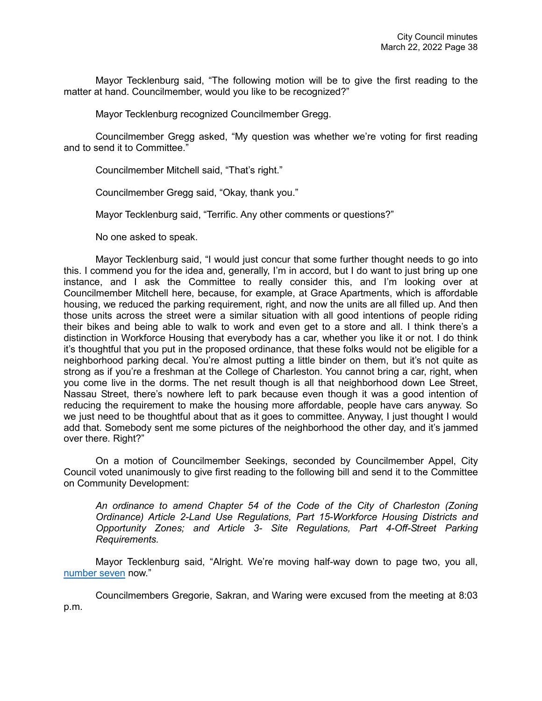Mayor Tecklenburg said, "The following motion will be to give the first reading to the matter at hand. Councilmember, would you like to be recognized?"

Mayor Tecklenburg recognized Councilmember Gregg.

Councilmember Gregg asked, "My question was whether we're voting for first reading and to send it to Committee."

Councilmember Mitchell said, "That's right."

Councilmember Gregg said, "Okay, thank you."

Mayor Tecklenburg said, "Terrific. Any other comments or questions?"

No one asked to speak.

Mayor Tecklenburg said, "I would just concur that some further thought needs to go into this. I commend you for the idea and, generally, I'm in accord, but I do want to just bring up one instance, and I ask the Committee to really consider this, and I'm looking over at Councilmember Mitchell here, because, for example, at Grace Apartments, which is affordable housing, we reduced the parking requirement, right, and now the units are all filled up. And then those units across the street were a similar situation with all good intentions of people riding their bikes and being able to walk to work and even get to a store and all. I think there's a distinction in Workforce Housing that everybody has a car, whether you like it or not. I do think it's thoughtful that you put in the proposed ordinance, that these folks would not be eligible for a neighborhood parking decal. You're almost putting a little binder on them, but it's not quite as strong as if you're a freshman at the College of Charleston. You cannot bring a car, right, when you come live in the dorms. The net result though is all that neighborhood down Lee Street, Nassau Street, there's nowhere left to park because even though it was a good intention of reducing the requirement to make the housing more affordable, people have cars anyway. So we just need to be thoughtful about that as it goes to committee. Anyway, I just thought I would add that. Somebody sent me some pictures of the neighborhood the other day, and it's jammed over there. Right?"

On a motion of Councilmember Seekings, seconded by Councilmember Appel, City Council voted unanimously to give first reading to the following bill and send it to the Committee on Community Development:

*An ordinance to amend Chapter 54 of the Code of the City of Charleston (Zoning Ordinance) Article 2-Land Use Regulations, Part 15-Workforce Housing Districts and Opportunity Zones; and Article 3- Site Regulations, Part 4-Off-Street Parking Requirements.*

Mayor Tecklenburg said, "Alright. We're moving half-way down to page two, you all, [number seven](https://youtu.be/sTB0yK2IJ2Y?t=7400) now."

Councilmembers Gregorie, Sakran, and Waring were excused from the meeting at 8:03 p.m.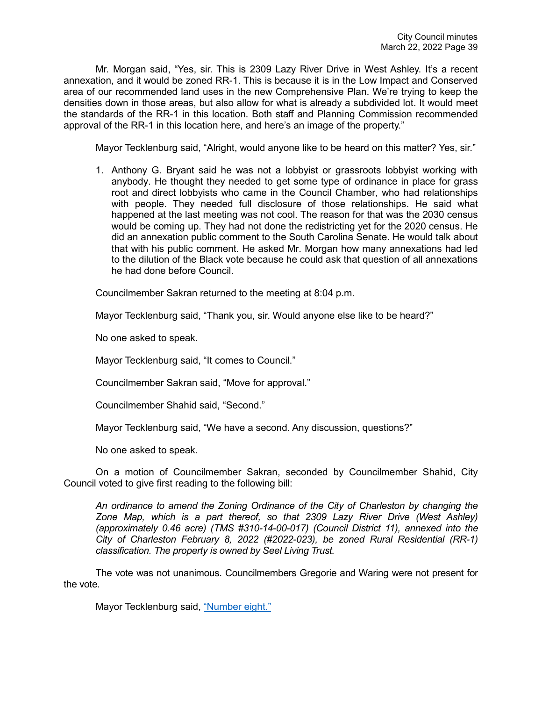Mr. Morgan said, "Yes, sir. This is 2309 Lazy River Drive in West Ashley. It's a recent annexation, and it would be zoned RR-1. This is because it is in the Low Impact and Conserved area of our recommended land uses in the new Comprehensive Plan. We're trying to keep the densities down in those areas, but also allow for what is already a subdivided lot. It would meet the standards of the RR-1 in this location. Both staff and Planning Commission recommended approval of the RR-1 in this location here, and here's an image of the property."

Mayor Tecklenburg said, "Alright, would anyone like to be heard on this matter? Yes, sir."

1. Anthony G. Bryant said he was not a lobbyist or grassroots lobbyist working with anybody. He thought they needed to get some type of ordinance in place for grass root and direct lobbyists who came in the Council Chamber, who had relationships with people. They needed full disclosure of those relationships. He said what happened at the last meeting was not cool. The reason for that was the 2030 census would be coming up. They had not done the redistricting yet for the 2020 census. He did an annexation public comment to the South Carolina Senate. He would talk about that with his public comment. He asked Mr. Morgan how many annexations had led to the dilution of the Black vote because he could ask that question of all annexations he had done before Council.

Councilmember Sakran returned to the meeting at 8:04 p.m.

Mayor Tecklenburg said, "Thank you, sir. Would anyone else like to be heard?"

No one asked to speak.

Mayor Tecklenburg said, "It comes to Council."

Councilmember Sakran said, "Move for approval."

Councilmember Shahid said, "Second."

Mayor Tecklenburg said, "We have a second. Any discussion, questions?"

No one asked to speak.

On a motion of Councilmember Sakran, seconded by Councilmember Shahid, City Council voted to give first reading to the following bill:

*An ordinance to amend the Zoning Ordinance of the City of Charleston by changing the Zone Map, which is a part thereof, so that 2309 Lazy River Drive (West Ashley) (approximately 0.46 acre) (TMS #310-14-00-017) (Council District 11), annexed into the City of Charleston February 8, 2022 (#2022-023), be zoned Rural Residential (RR-1) classification. The property is owned by Seel Living Trust.* 

The vote was not unanimous. Councilmembers Gregorie and Waring were not present for the vote.

Mayor Tecklenburg said, ["Number eight."](https://youtu.be/sTB0yK2IJ2Y?t=7515)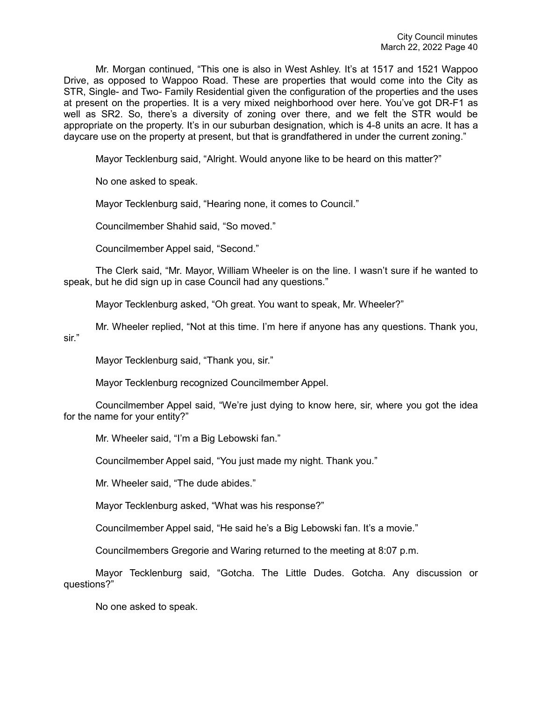Mr. Morgan continued, "This one is also in West Ashley. It's at 1517 and 1521 Wappoo Drive, as opposed to Wappoo Road. These are properties that would come into the City as STR, Single- and Two- Family Residential given the configuration of the properties and the uses at present on the properties. It is a very mixed neighborhood over here. You've got DR-F1 as well as SR2. So, there's a diversity of zoning over there, and we felt the STR would be appropriate on the property. It's in our suburban designation, which is 4-8 units an acre. It has a daycare use on the property at present, but that is grandfathered in under the current zoning."

Mayor Tecklenburg said, "Alright. Would anyone like to be heard on this matter?"

No one asked to speak.

Mayor Tecklenburg said, "Hearing none, it comes to Council."

Councilmember Shahid said, "So moved."

Councilmember Appel said, "Second."

The Clerk said, "Mr. Mayor, William Wheeler is on the line. I wasn't sure if he wanted to speak, but he did sign up in case Council had any questions."

Mayor Tecklenburg asked, "Oh great. You want to speak, Mr. Wheeler?"

Mr. Wheeler replied, "Not at this time. I'm here if anyone has any questions. Thank you, sir."

Mayor Tecklenburg said, "Thank you, sir."

Mayor Tecklenburg recognized Councilmember Appel.

Councilmember Appel said, "We're just dying to know here, sir, where you got the idea for the name for your entity?"

Mr. Wheeler said, "I'm a Big Lebowski fan."

Councilmember Appel said, "You just made my night. Thank you."

Mr. Wheeler said, "The dude abides."

Mayor Tecklenburg asked, "What was his response?"

Councilmember Appel said, "He said he's a Big Lebowski fan. It's a movie."

Councilmembers Gregorie and Waring returned to the meeting at 8:07 p.m.

Mayor Tecklenburg said, "Gotcha. The Little Dudes. Gotcha. Any discussion or questions?"

No one asked to speak.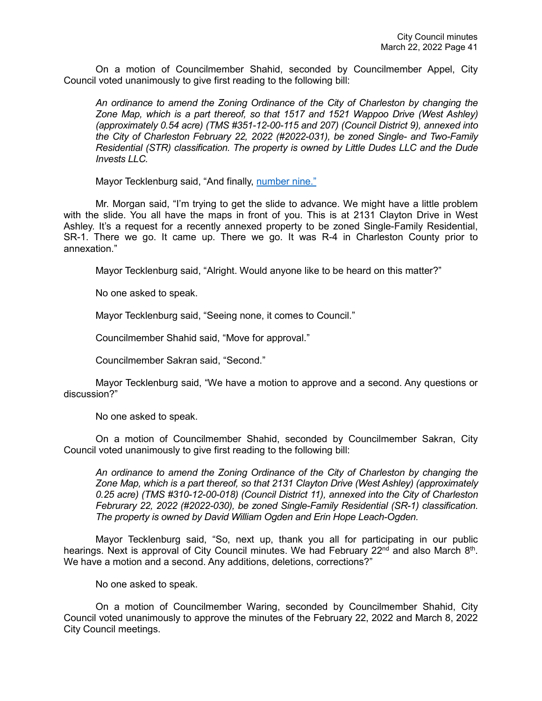On a motion of Councilmember Shahid, seconded by Councilmember Appel, City Council voted unanimously to give first reading to the following bill:

*An ordinance to amend the Zoning Ordinance of the City of Charleston by changing the Zone Map, which is a part thereof, so that 1517 and 1521 Wappoo Drive (West Ashley) (approximately 0.54 acre) (TMS #351-12-00-115 and 207) (Council District 9), annexed into the City of Charleston February 22, 2022 (#2022-031), be zoned Single- and Two-Family Residential (STR) classification. The property is owned by Little Dudes LLC and the Dude Invests LLC.* 

Mayor Tecklenburg said, "And finally, [number nine."](https://youtu.be/sTB0yK2IJ2Y?t=7631)

Mr. Morgan said, "I'm trying to get the slide to advance. We might have a little problem with the slide. You all have the maps in front of you. This is at 2131 Clayton Drive in West Ashley. It's a request for a recently annexed property to be zoned Single-Family Residential, SR-1. There we go. It came up. There we go. It was R-4 in Charleston County prior to annexation."

Mayor Tecklenburg said, "Alright. Would anyone like to be heard on this matter?"

No one asked to speak.

Mayor Tecklenburg said, "Seeing none, it comes to Council."

Councilmember Shahid said, "Move for approval."

Councilmember Sakran said, "Second."

Mayor Tecklenburg said, "We have a motion to approve and a second. Any questions or discussion?"

No one asked to speak.

On a motion of Councilmember Shahid, seconded by Councilmember Sakran, City Council voted unanimously to give first reading to the following bill:

*An ordinance to amend the Zoning Ordinance of the City of Charleston by changing the Zone Map, which is a part thereof, so that 2131 Clayton Drive (West Ashley) (approximately 0.25 acre) (TMS #310-12-00-018) (Council District 11), annexed into the City of Charleston Februrary 22, 2022 (#2022-030), be zoned Single-Family Residential (SR-1) classification. The property is owned by David William Ogden and Erin Hope Leach-Ogden.* 

Mayor Tecklenburg said, "So, next up, thank you all for participating in our public hearings. Next is approval of City Council minutes. We had February 22<sup>nd</sup> and also March 8<sup>th</sup>. We have a motion and a second. Any additions, deletions, corrections?"

No one asked to speak.

On a motion of Councilmember Waring, seconded by Councilmember Shahid, City Council voted unanimously to approve the minutes of the February 22, 2022 and March 8, 2022 City Council meetings.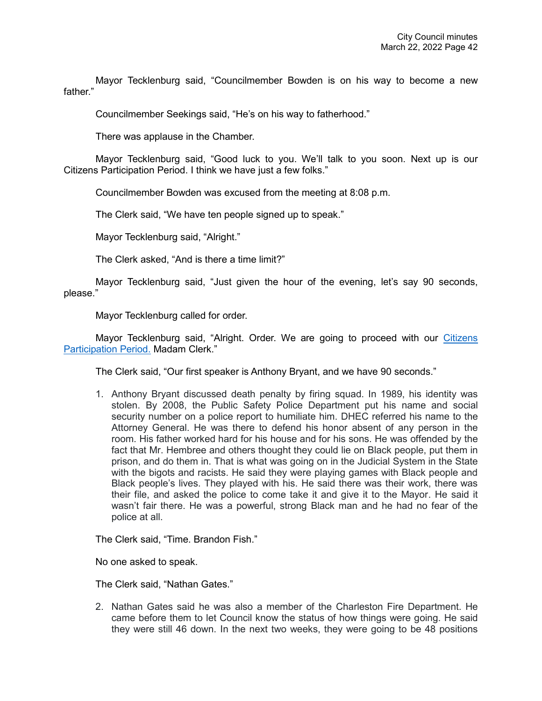Mayor Tecklenburg said, "Councilmember Bowden is on his way to become a new father"

Councilmember Seekings said, "He's on his way to fatherhood."

There was applause in the Chamber.

Mayor Tecklenburg said, "Good luck to you. We'll talk to you soon. Next up is our Citizens Participation Period. I think we have just a few folks."

Councilmember Bowden was excused from the meeting at 8:08 p.m.

The Clerk said, "We have ten people signed up to speak."

Mayor Tecklenburg said, "Alright."

The Clerk asked, "And is there a time limit?"

Mayor Tecklenburg said, "Just given the hour of the evening, let's say 90 seconds, please."

Mayor Tecklenburg called for order.

Mayor Tecklenburg said, "Alright. Order. We are going to proceed with our [Citizens](https://youtu.be/sTB0yK2IJ2Y?t=7728)  [Participation Period.](https://youtu.be/sTB0yK2IJ2Y?t=7728) Madam Clerk."

The Clerk said, "Our first speaker is Anthony Bryant, and we have 90 seconds."

1. Anthony Bryant discussed death penalty by firing squad. In 1989, his identity was stolen. By 2008, the Public Safety Police Department put his name and social security number on a police report to humiliate him. DHEC referred his name to the Attorney General. He was there to defend his honor absent of any person in the room. His father worked hard for his house and for his sons. He was offended by the fact that Mr. Hembree and others thought they could lie on Black people, put them in prison, and do them in. That is what was going on in the Judicial System in the State with the bigots and racists. He said they were playing games with Black people and Black people's lives. They played with his. He said there was their work, there was their file, and asked the police to come take it and give it to the Mayor. He said it wasn't fair there. He was a powerful, strong Black man and he had no fear of the police at all.

The Clerk said, "Time. Brandon Fish."

No one asked to speak.

The Clerk said, "Nathan Gates."

2. Nathan Gates said he was also a member of the Charleston Fire Department. He came before them to let Council know the status of how things were going. He said they were still 46 down. In the next two weeks, they were going to be 48 positions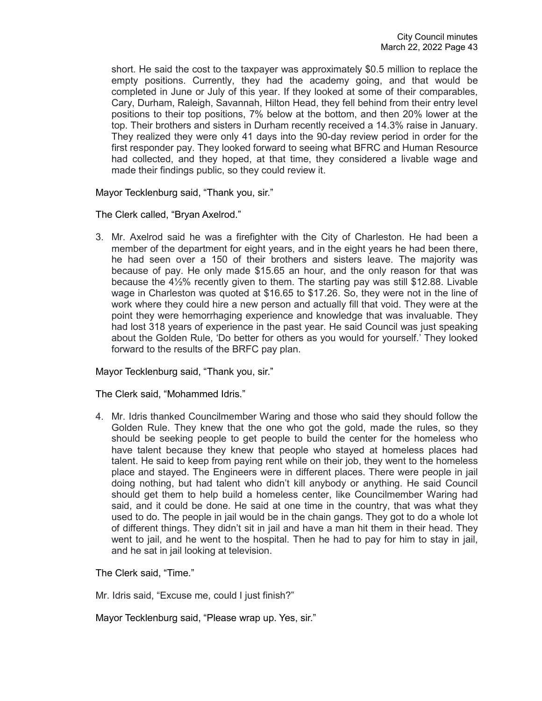short. He said the cost to the taxpayer was approximately \$0.5 million to replace the empty positions. Currently, they had the academy going, and that would be completed in June or July of this year. If they looked at some of their comparables, Cary, Durham, Raleigh, Savannah, Hilton Head, they fell behind from their entry level positions to their top positions, 7% below at the bottom, and then 20% lower at the top. Their brothers and sisters in Durham recently received a 14.3% raise in January. They realized they were only 41 days into the 90-day review period in order for the first responder pay. They looked forward to seeing what BFRC and Human Resource had collected, and they hoped, at that time, they considered a livable wage and made their findings public, so they could review it.

Mayor Tecklenburg said, "Thank you, sir."

The Clerk called, "Bryan Axelrod."

3. Mr. Axelrod said he was a firefighter with the City of Charleston. He had been a member of the department for eight years, and in the eight years he had been there, he had seen over a 150 of their brothers and sisters leave. The majority was because of pay. He only made \$15.65 an hour, and the only reason for that was because the 4½% recently given to them. The starting pay was still \$12.88. Livable wage in Charleston was quoted at \$16.65 to \$17.26. So, they were not in the line of work where they could hire a new person and actually fill that void. They were at the point they were hemorrhaging experience and knowledge that was invaluable. They had lost 318 years of experience in the past year. He said Council was just speaking about the Golden Rule, 'Do better for others as you would for yourself.' They looked forward to the results of the BRFC pay plan.

Mayor Tecklenburg said, "Thank you, sir."

The Clerk said, "Mohammed Idris."

4. Mr. Idris thanked Councilmember Waring and those who said they should follow the Golden Rule. They knew that the one who got the gold, made the rules, so they should be seeking people to get people to build the center for the homeless who have talent because they knew that people who stayed at homeless places had talent. He said to keep from paying rent while on their job, they went to the homeless place and stayed. The Engineers were in different places. There were people in jail doing nothing, but had talent who didn't kill anybody or anything. He said Council should get them to help build a homeless center, like Councilmember Waring had said, and it could be done. He said at one time in the country, that was what they used to do. The people in jail would be in the chain gangs. They got to do a whole lot of different things. They didn't sit in jail and have a man hit them in their head. They went to jail, and he went to the hospital. Then he had to pay for him to stay in jail, and he sat in jail looking at television.

The Clerk said, "Time."

Mr. Idris said, "Excuse me, could I just finish?"

Mayor Tecklenburg said, "Please wrap up. Yes, sir."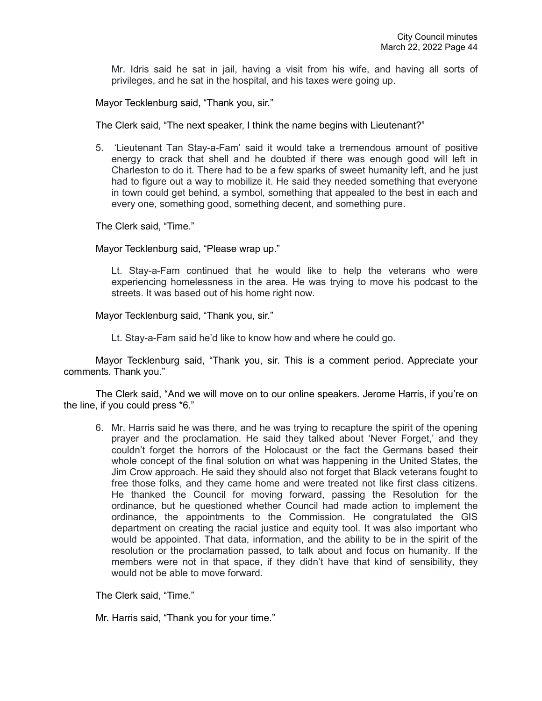Mr. Idris said he sat in jail, having a visit from his wife, and having all sorts of privileges, and he sat in the hospital, and his taxes were going up.

Mayor Tecklenburg said, "Thank you, sir."

The Clerk said, "The next speaker, I think the name begins with Lieutenant?"

5. 'Lieutenant Tan Stay-a-Fam' said it would take a tremendous amount of positive energy to crack that shell and he doubted if there was enough good will left in Charleston to do it. There had to be a few sparks of sweet humanity left, and he just had to figure out a way to mobilize it. He said they needed something that everyone in town could get behind, a symbol, something that appealed to the best in each and every one, something good, something decent, and something pure.

The Clerk said, "Time."

Mayor Tecklenburg said, "Please wrap up."

Lt. Stay-a-Fam continued that he would like to help the veterans who were experiencing homelessness in the area. He was trying to move his podcast to the streets. It was based out of his home right now.

Mayor Tecklenburg said, "Thank you, sir."

Lt. Stay-a-Fam said he'd like to know how and where he could go.

Mayor Tecklenburg said, "Thank you, sir. This is a comment period. Appreciate your comments. Thank you."

The Clerk said, "And we will move on to our online speakers. Jerome Harris, if you're on the line, if you could press \*6."

6. Mr. Harris said he was there, and he was trying to recapture the spirit of the opening prayer and the proclamation. He said they talked about 'Never Forget,' and they couldn't forget the horrors of the Holocaust or the fact the Germans based their whole concept of the final solution on what was happening in the United States, the Jim Crow approach. He said they should also not forget that Black veterans fought to free those folks, and they came home and were treated not like first class citizens. He thanked the Council for moving forward, passing the Resolution for the ordinance, but he questioned whether Council had made action to implement the ordinance, the appointments to the Commission. He congratulated the GIS department on creating the racial justice and equity tool. It was also important who would be appointed. That data, information, and the ability to be in the spirit of the resolution or the proclamation passed, to talk about and focus on humanity. If the members were not in that space, if they didn't have that kind of sensibility, they would not be able to move forward.

The Clerk said, "Time."

Mr. Harris said, "Thank you for your time."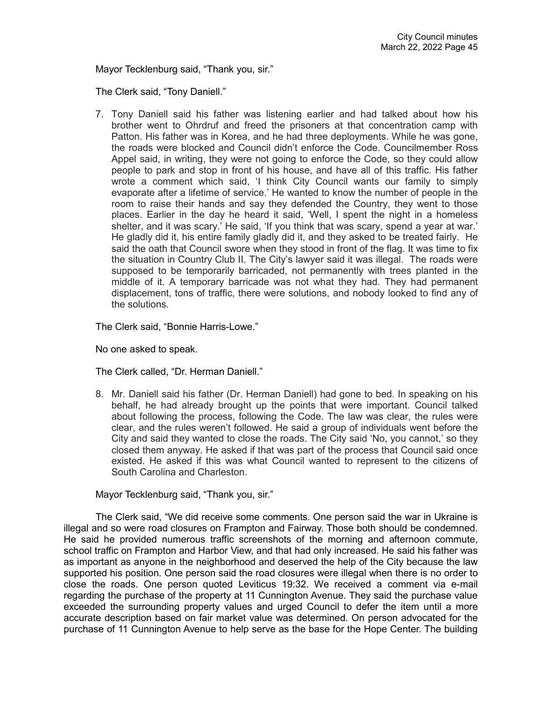Mayor Tecklenburg said, "Thank you, sir."

The Clerk said, "Tony Daniell."

7. Tony Daniell said his father was listening earlier and had talked about how his brother went to Ohrdruf and freed the prisoners at that concentration camp with Patton. His father was in Korea, and he had three deployments. While he was gone, the roads were blocked and Council didn't enforce the Code. Councilmember Ross Appel said, in writing, they were not going to enforce the Code, so they could allow people to park and stop in front of his house, and have all of this traffic. His father wrote a comment which said, 'I think City Council wants our family to simply evaporate after a lifetime of service.' He wanted to know the number of people in the room to raise their hands and say they defended the Country, they went to those places. Earlier in the day he heard it said, 'Well, I spent the night in a homeless shelter, and it was scary.' He said, 'If you think that was scary, spend a year at war.' He gladly did it, his entire family gladly did it, and they asked to be treated fairly. He said the oath that Council swore when they stood in front of the flag. It was time to fix the situation in Country Club II. The City's lawyer said it was illegal. The roads were supposed to be temporarily barricaded, not permanently with trees planted in the middle of it. A temporary barricade was not what they had. They had permanent displacement, tons of traffic, there were solutions, and nobody looked to find any of the solutions.

The Clerk said, "Bonnie Harris-Lowe."

No one asked to speak.

The Clerk called, "Dr. Herman Daniell."

8. Mr. Daniell said his father (Dr. Herman Daniell) had gone to bed. In speaking on his behalf, he had already brought up the points that were important. Council talked about following the process, following the Code. The law was clear, the rules were clear, and the rules weren't followed. He said a group of individuals went before the City and said they wanted to close the roads. The City said 'No, you cannot,' so they closed them anyway. He asked if that was part of the process that Council said once existed. He asked if this was what Council wanted to represent to the citizens of South Carolina and Charleston.

Mayor Tecklenburg said, "Thank you, sir."

The Clerk said, "We did receive some comments. One person said the war in Ukraine is illegal and so were road closures on Frampton and Fairway. Those both should be condemned. He said he provided numerous traffic screenshots of the morning and afternoon commute, school traffic on Frampton and Harbor View, and that had only increased. He said his father was as important as anyone in the neighborhood and deserved the help of the City because the law supported his position. One person said the road closures were illegal when there is no order to close the roads. One person quoted Leviticus 19:32. We received a comment via e-mail regarding the purchase of the property at 11 Cunnington Avenue. They said the purchase value exceeded the surrounding property values and urged Council to defer the item until a more accurate description based on fair market value was determined. On person advocated for the purchase of 11 Cunnington Avenue to help serve as the base for the Hope Center. The building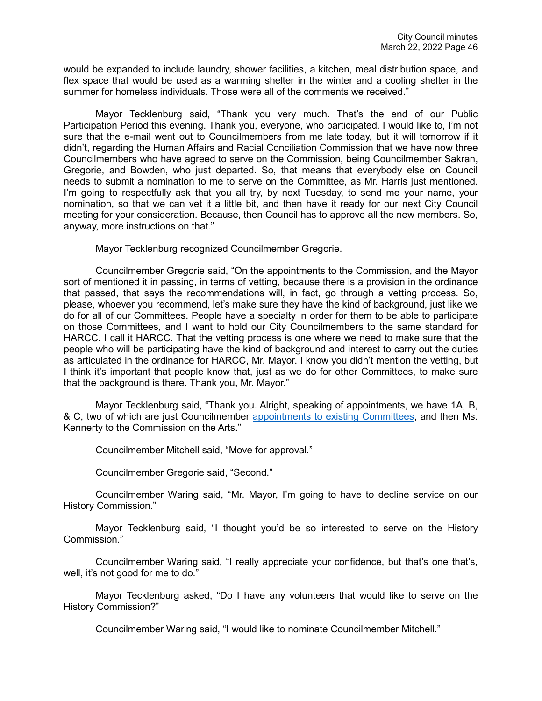would be expanded to include laundry, shower facilities, a kitchen, meal distribution space, and flex space that would be used as a warming shelter in the winter and a cooling shelter in the summer for homeless individuals. Those were all of the comments we received."

Mayor Tecklenburg said, "Thank you very much. That's the end of our Public Participation Period this evening. Thank you, everyone, who participated. I would like to, I'm not sure that the e-mail went out to Councilmembers from me late today, but it will tomorrow if it didn't, regarding the Human Affairs and Racial Conciliation Commission that we have now three Councilmembers who have agreed to serve on the Commission, being Councilmember Sakran, Gregorie, and Bowden, who just departed. So, that means that everybody else on Council needs to submit a nomination to me to serve on the Committee, as Mr. Harris just mentioned. I'm going to respectfully ask that you all try, by next Tuesday, to send me your name, your nomination, so that we can vet it a little bit, and then have it ready for our next City Council meeting for your consideration. Because, then Council has to approve all the new members. So, anyway, more instructions on that."

Mayor Tecklenburg recognized Councilmember Gregorie.

Councilmember Gregorie said, "On the appointments to the Commission, and the Mayor sort of mentioned it in passing, in terms of vetting, because there is a provision in the ordinance that passed, that says the recommendations will, in fact, go through a vetting process. So, please, whoever you recommend, let's make sure they have the kind of background, just like we do for all of our Committees. People have a specialty in order for them to be able to participate on those Committees, and I want to hold our City Councilmembers to the same standard for HARCC. I call it HARCC. That the vetting process is one where we need to make sure that the people who will be participating have the kind of background and interest to carry out the duties as articulated in the ordinance for HARCC, Mr. Mayor. I know you didn't mention the vetting, but I think it's important that people know that, just as we do for other Committees, to make sure that the background is there. Thank you, Mr. Mayor."

Mayor Tecklenburg said, "Thank you. Alright, speaking of appointments, we have 1A, B, & C, two of which are just Councilmember [appointments to existing Committees,](https://www.youtube.com/watch?v=sTB0yK2IJ2Y&t=5442s) and then Ms. Kennerty to the Commission on the Arts."

Councilmember Mitchell said, "Move for approval."

Councilmember Gregorie said, "Second."

Councilmember Waring said, "Mr. Mayor, I'm going to have to decline service on our History Commission."

Mayor Tecklenburg said, "I thought you'd be so interested to serve on the History Commission."

Councilmember Waring said, "I really appreciate your confidence, but that's one that's, well, it's not good for me to do."

Mayor Tecklenburg asked, "Do I have any volunteers that would like to serve on the History Commission?"

Councilmember Waring said, "I would like to nominate Councilmember Mitchell."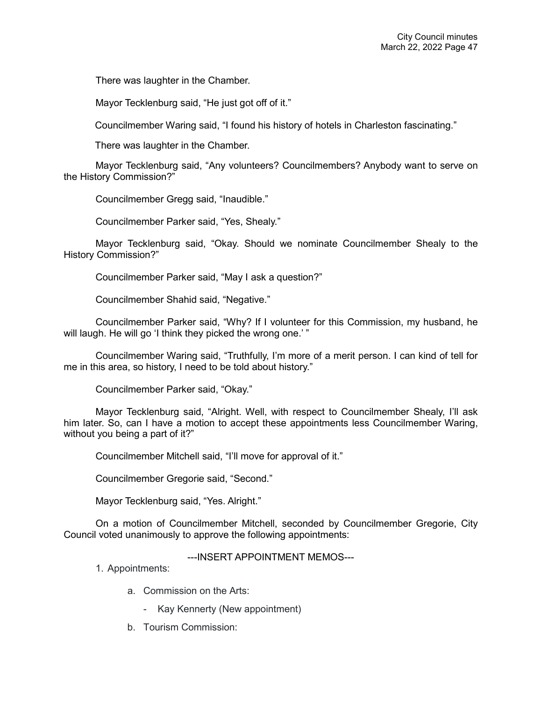There was laughter in the Chamber.

Mayor Tecklenburg said, "He just got off of it."

Councilmember Waring said, "I found his history of hotels in Charleston fascinating."

There was laughter in the Chamber.

Mayor Tecklenburg said, "Any volunteers? Councilmembers? Anybody want to serve on the History Commission?"

Councilmember Gregg said, "Inaudible."

Councilmember Parker said, "Yes, Shealy."

Mayor Tecklenburg said, "Okay. Should we nominate Councilmember Shealy to the History Commission?"

Councilmember Parker said, "May I ask a question?"

Councilmember Shahid said, "Negative."

Councilmember Parker said, "Why? If I volunteer for this Commission, my husband, he will laugh. He will go 'I think they picked the wrong one.'"

Councilmember Waring said, "Truthfully, I'm more of a merit person. I can kind of tell for me in this area, so history, I need to be told about history."

Councilmember Parker said, "Okay."

Mayor Tecklenburg said, "Alright. Well, with respect to Councilmember Shealy, I'll ask him later. So, can I have a motion to accept these appointments less Councilmember Waring, without you being a part of it?"

Councilmember Mitchell said, "I'll move for approval of it."

Councilmember Gregorie said, "Second."

Mayor Tecklenburg said, "Yes. Alright."

On a motion of Councilmember Mitchell, seconded by Councilmember Gregorie, City Council voted unanimously to approve the following appointments:

---INSERT APPOINTMENT MEMOS---

1. Appointments:

- a. Commission on the Arts:
	- Kay Kennerty (New appointment)
- b. Tourism Commission: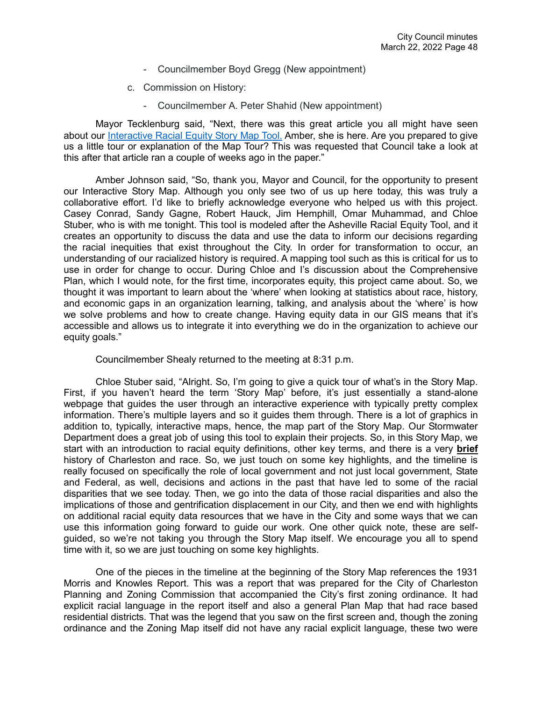- Councilmember Boyd Gregg (New appointment)
- c. Commission on History:
	- Councilmember A. Peter Shahid (New appointment)

Mayor Tecklenburg said, "Next, there was this great article you all might have seen about our [Interactive Racial Equity Story Map Tool.](https://youtu.be/sTB0yK2IJ2Y?t=8877) Amber, she is here. Are you prepared to give us a little tour or explanation of the Map Tour? This was requested that Council take a look at this after that article ran a couple of weeks ago in the paper."

Amber Johnson said, "So, thank you, Mayor and Council, for the opportunity to present our Interactive Story Map. Although you only see two of us up here today, this was truly a collaborative effort. I'd like to briefly acknowledge everyone who helped us with this project. Casey Conrad, Sandy Gagne, Robert Hauck, Jim Hemphill, Omar Muhammad, and Chloe Stuber, who is with me tonight. This tool is modeled after the Asheville Racial Equity Tool, and it creates an opportunity to discuss the data and use the data to inform our decisions regarding the racial inequities that exist throughout the City. In order for transformation to occur, an understanding of our racialized history is required. A mapping tool such as this is critical for us to use in order for change to occur. During Chloe and I's discussion about the Comprehensive Plan, which I would note, for the first time, incorporates equity, this project came about. So, we thought it was important to learn about the 'where' when looking at statistics about race, history, and economic gaps in an organization learning, talking, and analysis about the 'where' is how we solve problems and how to create change. Having equity data in our GIS means that it's accessible and allows us to integrate it into everything we do in the organization to achieve our equity goals."

Councilmember Shealy returned to the meeting at 8:31 p.m.

Chloe Stuber said, "Alright. So, I'm going to give a quick tour of what's in the Story Map. First, if you haven't heard the term 'Story Map' before, it's just essentially a stand-alone webpage that guides the user through an interactive experience with typically pretty complex information. There's multiple layers and so it guides them through. There is a lot of graphics in addition to, typically, interactive maps, hence, the map part of the Story Map. Our Stormwater Department does a great job of using this tool to explain their projects. So, in this Story Map, we start with an introduction to racial equity definitions, other key terms, and there is a very **brief** history of Charleston and race. So, we just touch on some key highlights, and the timeline is really focused on specifically the role of local government and not just local government, State and Federal, as well, decisions and actions in the past that have led to some of the racial disparities that we see today. Then, we go into the data of those racial disparities and also the implications of those and gentrification displacement in our City, and then we end with highlights on additional racial equity data resources that we have in the City and some ways that we can use this information going forward to guide our work. One other quick note, these are selfguided, so we're not taking you through the Story Map itself. We encourage you all to spend time with it, so we are just touching on some key highlights.

One of the pieces in the timeline at the beginning of the Story Map references the 1931 Morris and Knowles Report. This was a report that was prepared for the City of Charleston Planning and Zoning Commission that accompanied the City's first zoning ordinance. It had explicit racial language in the report itself and also a general Plan Map that had race based residential districts. That was the legend that you saw on the first screen and, though the zoning ordinance and the Zoning Map itself did not have any racial explicit language, these two were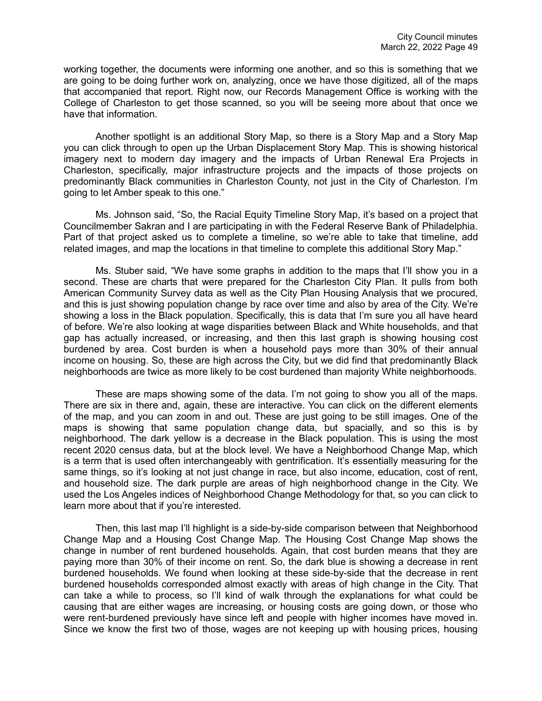working together, the documents were informing one another, and so this is something that we are going to be doing further work on, analyzing, once we have those digitized, all of the maps that accompanied that report. Right now, our Records Management Office is working with the College of Charleston to get those scanned, so you will be seeing more about that once we have that information.

Another spotlight is an additional Story Map, so there is a Story Map and a Story Map you can click through to open up the Urban Displacement Story Map. This is showing historical imagery next to modern day imagery and the impacts of Urban Renewal Era Projects in Charleston, specifically, major infrastructure projects and the impacts of those projects on predominantly Black communities in Charleston County, not just in the City of Charleston. I'm going to let Amber speak to this one."

Ms. Johnson said, "So, the Racial Equity Timeline Story Map, it's based on a project that Councilmember Sakran and I are participating in with the Federal Reserve Bank of Philadelphia. Part of that project asked us to complete a timeline, so we're able to take that timeline, add related images, and map the locations in that timeline to complete this additional Story Map."

Ms. Stuber said, "We have some graphs in addition to the maps that I'll show you in a second. These are charts that were prepared for the Charleston City Plan. It pulls from both American Community Survey data as well as the City Plan Housing Analysis that we procured, and this is just showing population change by race over time and also by area of the City. We're showing a loss in the Black population. Specifically, this is data that I'm sure you all have heard of before. We're also looking at wage disparities between Black and White households, and that gap has actually increased, or increasing, and then this last graph is showing housing cost burdened by area. Cost burden is when a household pays more than 30% of their annual income on housing. So, these are high across the City, but we did find that predominantly Black neighborhoods are twice as more likely to be cost burdened than majority White neighborhoods.

These are maps showing some of the data. I'm not going to show you all of the maps. There are six in there and, again, these are interactive. You can click on the different elements of the map, and you can zoom in and out. These are just going to be still images. One of the maps is showing that same population change data, but spacially, and so this is by neighborhood. The dark yellow is a decrease in the Black population. This is using the most recent 2020 census data, but at the block level. We have a Neighborhood Change Map, which is a term that is used often interchangeably with gentrification. It's essentially measuring for the same things, so it's looking at not just change in race, but also income, education, cost of rent, and household size. The dark purple are areas of high neighborhood change in the City. We used the Los Angeles indices of Neighborhood Change Methodology for that, so you can click to learn more about that if you're interested.

Then, this last map I'll highlight is a side-by-side comparison between that Neighborhood Change Map and a Housing Cost Change Map. The Housing Cost Change Map shows the change in number of rent burdened households. Again, that cost burden means that they are paying more than 30% of their income on rent. So, the dark blue is showing a decrease in rent burdened households. We found when looking at these side-by-side that the decrease in rent burdened households corresponded almost exactly with areas of high change in the City. That can take a while to process, so I'll kind of walk through the explanations for what could be causing that are either wages are increasing, or housing costs are going down, or those who were rent-burdened previously have since left and people with higher incomes have moved in. Since we know the first two of those, wages are not keeping up with housing prices, housing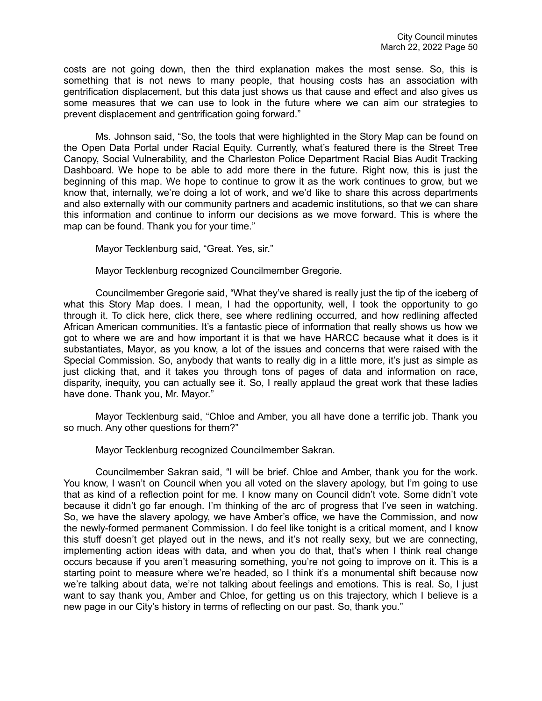costs are not going down, then the third explanation makes the most sense. So, this is something that is not news to many people, that housing costs has an association with gentrification displacement, but this data just shows us that cause and effect and also gives us some measures that we can use to look in the future where we can aim our strategies to prevent displacement and gentrification going forward."

Ms. Johnson said, "So, the tools that were highlighted in the Story Map can be found on the Open Data Portal under Racial Equity. Currently, what's featured there is the Street Tree Canopy, Social Vulnerability, and the Charleston Police Department Racial Bias Audit Tracking Dashboard. We hope to be able to add more there in the future. Right now, this is just the beginning of this map. We hope to continue to grow it as the work continues to grow, but we know that, internally, we're doing a lot of work, and we'd like to share this across departments and also externally with our community partners and academic institutions, so that we can share this information and continue to inform our decisions as we move forward. This is where the map can be found. Thank you for your time."

Mayor Tecklenburg said, "Great. Yes, sir."

Mayor Tecklenburg recognized Councilmember Gregorie.

Councilmember Gregorie said, "What they've shared is really just the tip of the iceberg of what this Story Map does. I mean, I had the opportunity, well, I took the opportunity to go through it. To click here, click there, see where redlining occurred, and how redlining affected African American communities. It's a fantastic piece of information that really shows us how we got to where we are and how important it is that we have HARCC because what it does is it substantiates, Mayor, as you know, a lot of the issues and concerns that were raised with the Special Commission. So, anybody that wants to really dig in a little more, it's just as simple as just clicking that, and it takes you through tons of pages of data and information on race, disparity, inequity, you can actually see it. So, I really applaud the great work that these ladies have done. Thank you, Mr. Mayor."

Mayor Tecklenburg said, "Chloe and Amber, you all have done a terrific job. Thank you so much. Any other questions for them?"

Mayor Tecklenburg recognized Councilmember Sakran.

Councilmember Sakran said, "I will be brief. Chloe and Amber, thank you for the work. You know, I wasn't on Council when you all voted on the slavery apology, but I'm going to use that as kind of a reflection point for me. I know many on Council didn't vote. Some didn't vote because it didn't go far enough. I'm thinking of the arc of progress that I've seen in watching. So, we have the slavery apology, we have Amber's office, we have the Commission, and now the newly-formed permanent Commission. I do feel like tonight is a critical moment, and I know this stuff doesn't get played out in the news, and it's not really sexy, but we are connecting, implementing action ideas with data, and when you do that, that's when I think real change occurs because if you aren't measuring something, you're not going to improve on it. This is a starting point to measure where we're headed, so I think it's a monumental shift because now we're talking about data, we're not talking about feelings and emotions. This is real. So, I just want to say thank you, Amber and Chloe, for getting us on this trajectory, which I believe is a new page in our City's history in terms of reflecting on our past. So, thank you."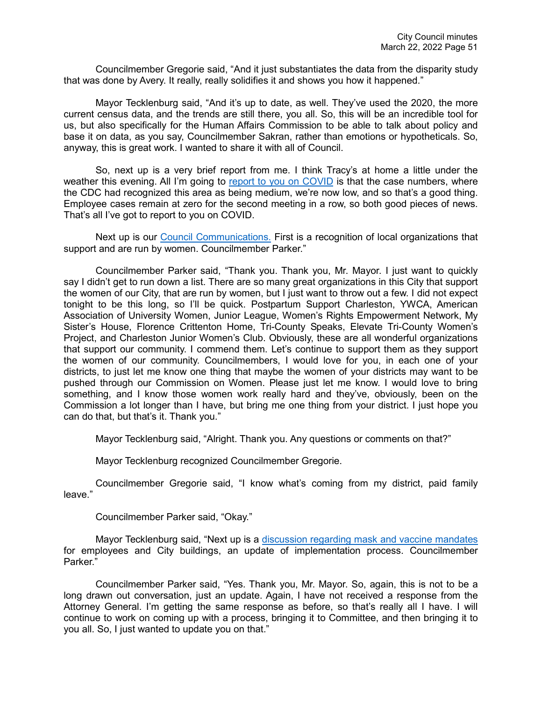Councilmember Gregorie said, "And it just substantiates the data from the disparity study that was done by Avery. It really, really solidifies it and shows you how it happened."

Mayor Tecklenburg said, "And it's up to date, as well. They've used the 2020, the more current census data, and the trends are still there, you all. So, this will be an incredible tool for us, but also specifically for the Human Affairs Commission to be able to talk about policy and base it on data, as you say, Councilmember Sakran, rather than emotions or hypotheticals. So, anyway, this is great work. I wanted to share it with all of Council.

So, next up is a very brief report from me. I think Tracy's at home a little under the weather this evening. All I'm going to [report to you on COVID](https://youtu.be/sTB0yK2IJ2Y?t=9756) is that the case numbers, where the CDC had recognized this area as being medium, we're now low, and so that's a good thing. Employee cases remain at zero for the second meeting in a row, so both good pieces of news. That's all I've got to report to you on COVID.

Next up is our [Council Communications.](https://youtu.be/sTB0yK2IJ2Y?t=9783) First is a recognition of local organizations that support and are run by women. Councilmember Parker."

Councilmember Parker said, "Thank you. Thank you, Mr. Mayor. I just want to quickly say I didn't get to run down a list. There are so many great organizations in this City that support the women of our City, that are run by women, but I just want to throw out a few. I did not expect tonight to be this long, so I'll be quick. Postpartum Support Charleston, YWCA, American Association of University Women, Junior League, Women's Rights Empowerment Network, My Sister's House, Florence Crittenton Home, Tri-County Speaks, Elevate Tri-County Women's Project, and Charleston Junior Women's Club. Obviously, these are all wonderful organizations that support our community. I commend them. Let's continue to support them as they support the women of our community. Councilmembers, I would love for you, in each one of your districts, to just let me know one thing that maybe the women of your districts may want to be pushed through our Commission on Women. Please just let me know. I would love to bring something, and I know those women work really hard and they've, obviously, been on the Commission a lot longer than I have, but bring me one thing from your district. I just hope you can do that, but that's it. Thank you."

Mayor Tecklenburg said, "Alright. Thank you. Any questions or comments on that?"

Mayor Tecklenburg recognized Councilmember Gregorie.

Councilmember Gregorie said, "I know what's coming from my district, paid family leave."

Councilmember Parker said, "Okay."

Mayor Tecklenburg said, "Next up is a [discussion regarding mask and vaccine mandates](https://youtu.be/sTB0yK2IJ2Y?t=9878) for employees and City buildings, an update of implementation process. Councilmember Parker."

Councilmember Parker said, "Yes. Thank you, Mr. Mayor. So, again, this is not to be a long drawn out conversation, just an update. Again, I have not received a response from the Attorney General. I'm getting the same response as before, so that's really all I have. I will continue to work on coming up with a process, bringing it to Committee, and then bringing it to you all. So, I just wanted to update you on that."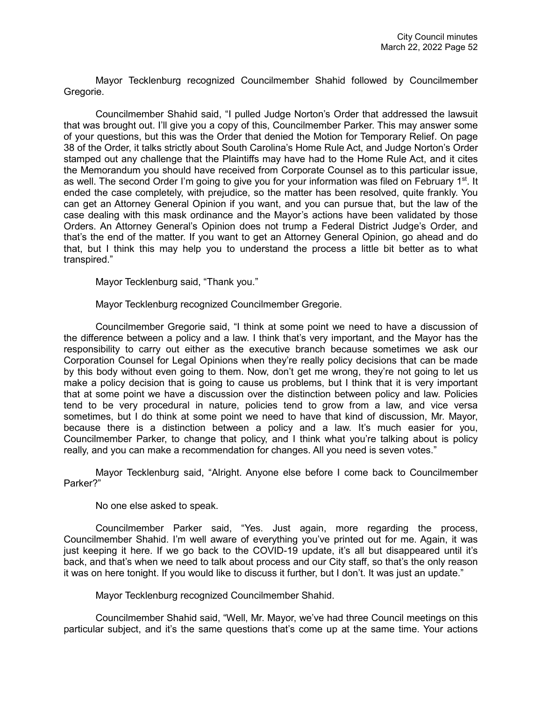Mayor Tecklenburg recognized Councilmember Shahid followed by Councilmember Gregorie.

Councilmember Shahid said, "I pulled Judge Norton's Order that addressed the lawsuit that was brought out. I'll give you a copy of this, Councilmember Parker. This may answer some of your questions, but this was the Order that denied the Motion for Temporary Relief. On page 38 of the Order, it talks strictly about South Carolina's Home Rule Act, and Judge Norton's Order stamped out any challenge that the Plaintiffs may have had to the Home Rule Act, and it cites the Memorandum you should have received from Corporate Counsel as to this particular issue, as well. The second Order I'm going to give you for your information was filed on February 1<sup>st</sup>. It ended the case completely, with prejudice, so the matter has been resolved, quite frankly. You can get an Attorney General Opinion if you want, and you can pursue that, but the law of the case dealing with this mask ordinance and the Mayor's actions have been validated by those Orders. An Attorney General's Opinion does not trump a Federal District Judge's Order, and that's the end of the matter. If you want to get an Attorney General Opinion, go ahead and do that, but I think this may help you to understand the process a little bit better as to what transpired."

Mayor Tecklenburg said, "Thank you."

Mayor Tecklenburg recognized Councilmember Gregorie.

Councilmember Gregorie said, "I think at some point we need to have a discussion of the difference between a policy and a law. I think that's very important, and the Mayor has the responsibility to carry out either as the executive branch because sometimes we ask our Corporation Counsel for Legal Opinions when they're really policy decisions that can be made by this body without even going to them. Now, don't get me wrong, they're not going to let us make a policy decision that is going to cause us problems, but I think that it is very important that at some point we have a discussion over the distinction between policy and law. Policies tend to be very procedural in nature, policies tend to grow from a law, and vice versa sometimes, but I do think at some point we need to have that kind of discussion, Mr. Mayor, because there is a distinction between a policy and a law. It's much easier for you, Councilmember Parker, to change that policy, and I think what you're talking about is policy really, and you can make a recommendation for changes. All you need is seven votes."

Mayor Tecklenburg said, "Alright. Anyone else before I come back to Councilmember Parker?"

No one else asked to speak.

Councilmember Parker said, "Yes. Just again, more regarding the process, Councilmember Shahid. I'm well aware of everything you've printed out for me. Again, it was just keeping it here. If we go back to the COVID-19 update, it's all but disappeared until it's back, and that's when we need to talk about process and our City staff, so that's the only reason it was on here tonight. If you would like to discuss it further, but I don't. It was just an update."

Mayor Tecklenburg recognized Councilmember Shahid.

Councilmember Shahid said, "Well, Mr. Mayor, we've had three Council meetings on this particular subject, and it's the same questions that's come up at the same time. Your actions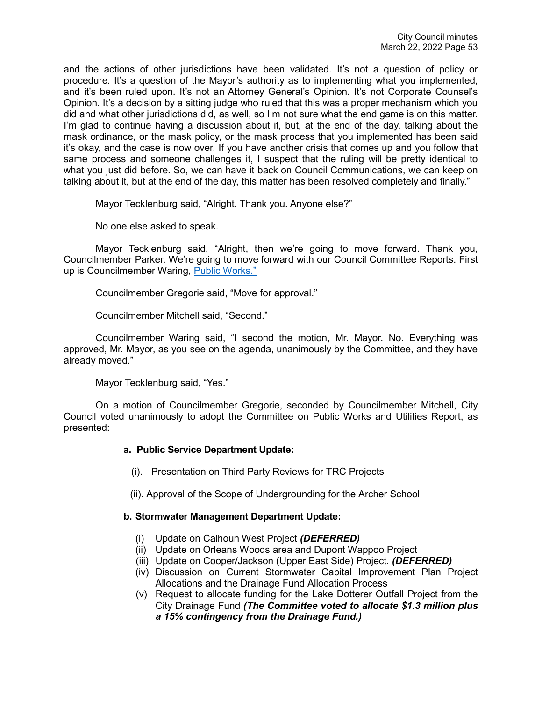and the actions of other jurisdictions have been validated. It's not a question of policy or procedure. It's a question of the Mayor's authority as to implementing what you implemented, and it's been ruled upon. It's not an Attorney General's Opinion. It's not Corporate Counsel's Opinion. It's a decision by a sitting judge who ruled that this was a proper mechanism which you did and what other jurisdictions did, as well, so I'm not sure what the end game is on this matter. I'm glad to continue having a discussion about it, but, at the end of the day, talking about the mask ordinance, or the mask policy, or the mask process that you implemented has been said it's okay, and the case is now over. If you have another crisis that comes up and you follow that same process and someone challenges it, I suspect that the ruling will be pretty identical to what you just did before. So, we can have it back on Council Communications, we can keep on talking about it, but at the end of the day, this matter has been resolved completely and finally."

Mayor Tecklenburg said, "Alright. Thank you. Anyone else?"

No one else asked to speak.

Mayor Tecklenburg said, "Alright, then we're going to move forward. Thank you, Councilmember Parker. We're going to move forward with our Council Committee Reports. First up is Councilmember Waring, [Public Works."](https://youtu.be/sTB0yK2IJ2Y?t=10237)

Councilmember Gregorie said, "Move for approval."

Councilmember Mitchell said, "Second."

Councilmember Waring said, "I second the motion, Mr. Mayor. No. Everything was approved, Mr. Mayor, as you see on the agenda, unanimously by the Committee, and they have already moved."

Mayor Tecklenburg said, "Yes."

On a motion of Councilmember Gregorie, seconded by Councilmember Mitchell, City Council voted unanimously to adopt the Committee on Public Works and Utilities Report, as presented:

## **a. Public Service Department Update:**

- (i). Presentation on Third Party Reviews for TRC Projects
- (ii). Approval of the Scope of Undergrounding for the Archer School

## **b. Stormwater Management Department Update:**

- (i) Update on Calhoun West Project *(DEFERRED)*
- (ii) Update on Orleans Woods area and Dupont Wappoo Project
- (iii) Update on Cooper/Jackson (Upper East Side) Project. *(DEFERRED)*
- (iv) Discussion on Current Stormwater Capital Improvement Plan Project Allocations and the Drainage Fund Allocation Process
- (v) Request to allocate funding for the Lake Dotterer Outfall Project from the City Drainage Fund *(The Committee voted to allocate \$1.3 million plus a 15% contingency from the Drainage Fund.)*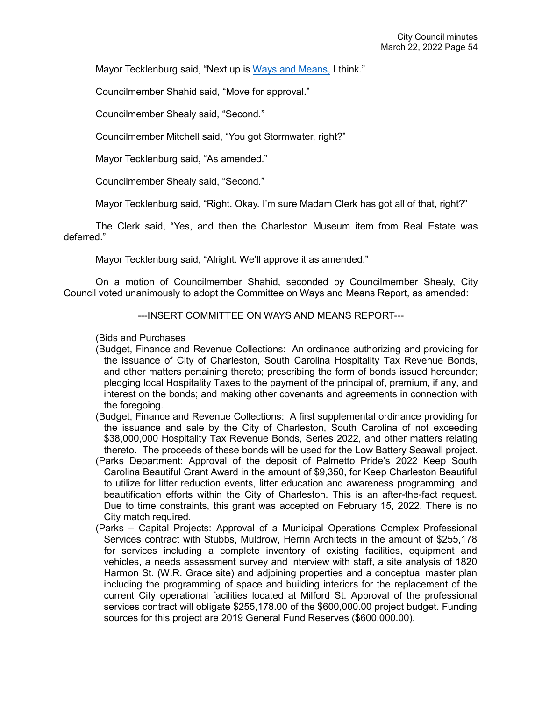Mayor Tecklenburg said, "Next up is [Ways and Means,](https://youtu.be/sTB0yK2IJ2Y?t=10261) I think."

Councilmember Shahid said, "Move for approval."

Councilmember Shealy said, "Second."

Councilmember Mitchell said, "You got Stormwater, right?"

Mayor Tecklenburg said, "As amended."

Councilmember Shealy said, "Second."

Mayor Tecklenburg said, "Right. Okay. I'm sure Madam Clerk has got all of that, right?"

The Clerk said, "Yes, and then the Charleston Museum item from Real Estate was deferred."

Mayor Tecklenburg said, "Alright. We'll approve it as amended."

On a motion of Councilmember Shahid, seconded by Councilmember Shealy, City Council voted unanimously to adopt the Committee on Ways and Means Report, as amended:

---INSERT COMMITTEE ON WAYS AND MEANS REPORT---

(Bids and Purchases

- (Budget, Finance and Revenue Collections: An ordinance authorizing and providing for the issuance of City of Charleston, South Carolina Hospitality Tax Revenue Bonds, and other matters pertaining thereto; prescribing the form of bonds issued hereunder; pledging local Hospitality Taxes to the payment of the principal of, premium, if any, and interest on the bonds; and making other covenants and agreements in connection with the foregoing.
- (Budget, Finance and Revenue Collections: A first supplemental ordinance providing for the issuance and sale by the City of Charleston, South Carolina of not exceeding \$38,000,000 Hospitality Tax Revenue Bonds, Series 2022, and other matters relating thereto. The proceeds of these bonds will be used for the Low Battery Seawall project.
- (Parks Department: Approval of the deposit of Palmetto Pride's 2022 Keep South Carolina Beautiful Grant Award in the amount of \$9,350, for Keep Charleston Beautiful to utilize for litter reduction events, litter education and awareness programming, and beautification efforts within the City of Charleston. This is an after-the-fact request. Due to time constraints, this grant was accepted on February 15, 2022. There is no City match required.
- (Parks Capital Projects: Approval of a Municipal Operations Complex Professional Services contract with Stubbs, Muldrow, Herrin Architects in the amount of \$255,178 for services including a complete inventory of existing facilities, equipment and vehicles, a needs assessment survey and interview with staff, a site analysis of 1820 Harmon St. (W.R. Grace site) and adjoining properties and a conceptual master plan including the programming of space and building interiors for the replacement of the current City operational facilities located at Milford St. Approval of the professional services contract will obligate \$255,178.00 of the \$600,000.00 project budget. Funding sources for this project are 2019 General Fund Reserves (\$600,000.00).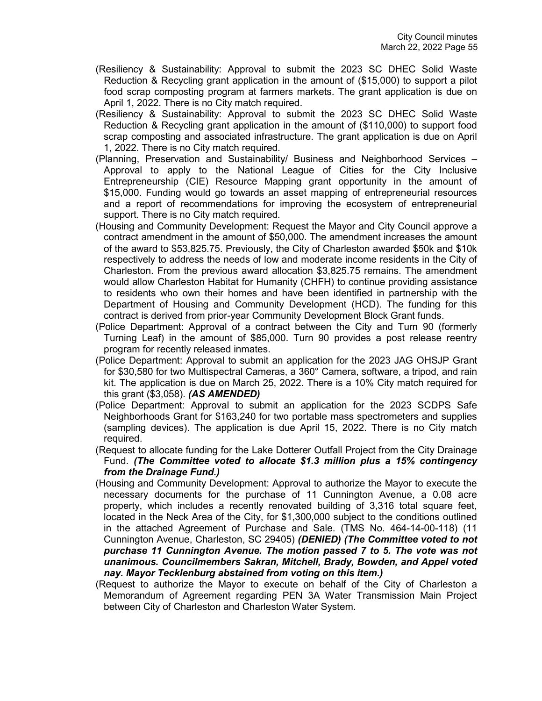- (Resiliency & Sustainability: Approval to submit the 2023 SC DHEC Solid Waste Reduction & Recycling grant application in the amount of (\$15,000) to support a pilot food scrap composting program at farmers markets. The grant application is due on April 1, 2022. There is no City match required.
- (Resiliency & Sustainability: Approval to submit the 2023 SC DHEC Solid Waste Reduction & Recycling grant application in the amount of (\$110,000) to support food scrap composting and associated infrastructure. The grant application is due on April 1, 2022. There is no City match required.
- (Planning, Preservation and Sustainability/ Business and Neighborhood Services Approval to apply to the National League of Cities for the City Inclusive Entrepreneurship (CIE) Resource Mapping grant opportunity in the amount of \$15,000. Funding would go towards an asset mapping of entrepreneurial resources and a report of recommendations for improving the ecosystem of entrepreneurial support. There is no City match required.
- (Housing and Community Development: Request the Mayor and City Council approve a contract amendment in the amount of \$50,000. The amendment increases the amount of the award to \$53,825.75. Previously, the City of Charleston awarded \$50k and \$10k respectively to address the needs of low and moderate income residents in the City of Charleston. From the previous award allocation \$3,825.75 remains. The amendment would allow Charleston Habitat for Humanity (CHFH) to continue providing assistance to residents who own their homes and have been identified in partnership with the Department of Housing and Community Development (HCD). The funding for this contract is derived from prior-year Community Development Block Grant funds.
- (Police Department: Approval of a contract between the City and Turn 90 (formerly Turning Leaf) in the amount of \$85,000. Turn 90 provides a post release reentry program for recently released inmates.
- (Police Department: Approval to submit an application for the 2023 JAG OHSJP Grant for \$30,580 for two Multispectral Cameras, a 360° Camera, software, a tripod, and rain kit. The application is due on March 25, 2022. There is a 10% City match required for this grant (\$3,058). *(AS AMENDED)*
- (Police Department: Approval to submit an application for the 2023 SCDPS Safe Neighborhoods Grant for \$163,240 for two portable mass spectrometers and supplies (sampling devices). The application is due April 15, 2022. There is no City match required.
- (Request to allocate funding for the Lake Dotterer Outfall Project from the City Drainage Fund. *(The Committee voted to allocate \$1.3 million plus a 15% contingency from the Drainage Fund.)*
- (Housing and Community Development: Approval to authorize the Mayor to execute the necessary documents for the purchase of 11 Cunnington Avenue, a 0.08 acre property, which includes a recently renovated building of 3,316 total square feet, located in the Neck Area of the City, for \$1,300,000 subject to the conditions outlined in the attached Agreement of Purchase and Sale. (TMS No. 464-14-00-118) (11 Cunnington Avenue, Charleston, SC 29405) *(DENIED) (The Committee voted to not purchase 11 Cunnington Avenue. The motion passed 7 to 5. The vote was not unanimous. Councilmembers Sakran, Mitchell, Brady, Bowden, and Appel voted nay. Mayor Tecklenburg abstained from voting on this item.)*
- (Request to authorize the Mayor to execute on behalf of the City of Charleston a Memorandum of Agreement regarding PEN 3A Water Transmission Main Project between City of Charleston and Charleston Water System.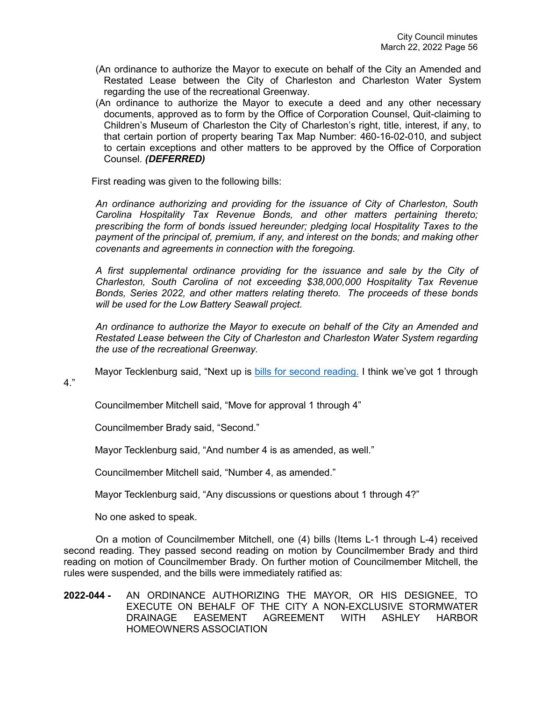- (An ordinance to authorize the Mayor to execute on behalf of the City an Amended and Restated Lease between the City of Charleston and Charleston Water System regarding the use of the recreational Greenway.
- (An ordinance to authorize the Mayor to execute a deed and any other necessary documents, approved as to form by the Office of Corporation Counsel, Quit-claiming to Children's Museum of Charleston the City of Charleston's right, title, interest, if any, to that certain portion of property bearing Tax Map Number: 460-16-02-010, and subject to certain exceptions and other matters to be approved by the Office of Corporation Counsel. *(DEFERRED)*

First reading was given to the following bills:

*An ordinance authorizing and providing for the issuance of City of Charleston, South Carolina Hospitality Tax Revenue Bonds, and other matters pertaining thereto; prescribing the form of bonds issued hereunder; pledging local Hospitality Taxes to the payment of the principal of, premium, if any, and interest on the bonds; and making other covenants and agreements in connection with the foregoing.*

*A first supplemental ordinance providing for the issuance and sale by the City of Charleston, South Carolina of not exceeding \$38,000,000 Hospitality Tax Revenue Bonds, Series 2022, and other matters relating thereto. The proceeds of these bonds will be used for the Low Battery Seawall project.*

*An ordinance to authorize the Mayor to execute on behalf of the City an Amended and Restated Lease between the City of Charleston and Charleston Water System regarding the use of the recreational Greenway.*

Mayor Tecklenburg said, "Next up is [bills for second reading.](https://youtu.be/sTB0yK2IJ2Y?t=10303) I think we've got 1 through

4."

Councilmember Mitchell said, "Move for approval 1 through 4"

Councilmember Brady said, "Second."

Mayor Tecklenburg said, "And number 4 is as amended, as well."

Councilmember Mitchell said, "Number 4, as amended."

Mayor Tecklenburg said, "Any discussions or questions about 1 through 4?"

No one asked to speak.

On a motion of Councilmember Mitchell, one (4) bills (Items L-1 through L-4) received second reading. They passed second reading on motion by Councilmember Brady and third reading on motion of Councilmember Brady. On further motion of Councilmember Mitchell, the rules were suspended, and the bills were immediately ratified as:

**2022-044 -** AN ORDINANCE AUTHORIZING THE MAYOR, OR HIS DESIGNEE, TO EXECUTE ON BEHALF OF THE CITY A NON-EXCLUSIVE STORMWATER DRAINAGE EASEMENT AGREEMENT WITH ASHLEY HARBOR HOMEOWNERS ASSOCIATION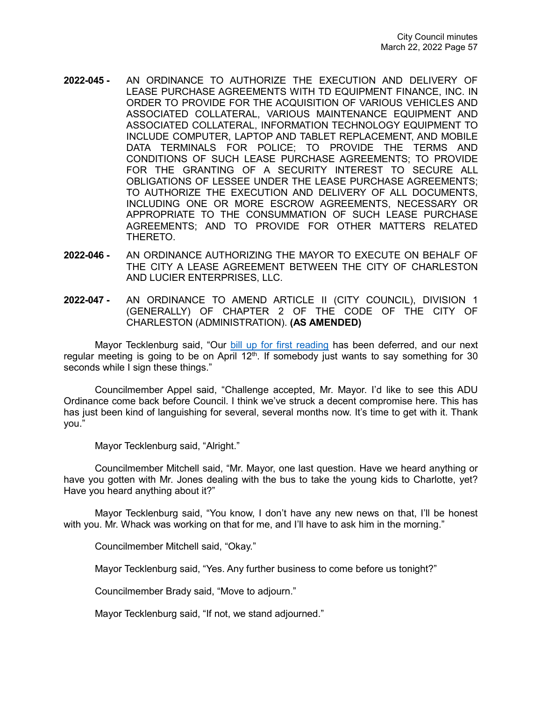- **2022-045 -** AN ORDINANCE TO AUTHORIZE THE EXECUTION AND DELIVERY OF LEASE PURCHASE AGREEMENTS WITH TD EQUIPMENT FINANCE, INC. IN ORDER TO PROVIDE FOR THE ACQUISITION OF VARIOUS VEHICLES AND ASSOCIATED COLLATERAL, VARIOUS MAINTENANCE EQUIPMENT AND ASSOCIATED COLLATERAL, INFORMATION TECHNOLOGY EQUIPMENT TO INCLUDE COMPUTER, LAPTOP AND TABLET REPLACEMENT, AND MOBILE DATA TERMINALS FOR POLICE; TO PROVIDE THE TERMS AND CONDITIONS OF SUCH LEASE PURCHASE AGREEMENTS; TO PROVIDE FOR THE GRANTING OF A SECURITY INTEREST TO SECURE ALL OBLIGATIONS OF LESSEE UNDER THE LEASE PURCHASE AGREEMENTS; TO AUTHORIZE THE EXECUTION AND DELIVERY OF ALL DOCUMENTS, INCLUDING ONE OR MORE ESCROW AGREEMENTS, NECESSARY OR APPROPRIATE TO THE CONSUMMATION OF SUCH LEASE PURCHASE AGREEMENTS; AND TO PROVIDE FOR OTHER MATTERS RELATED THERETO.
- **2022-046 -** AN ORDINANCE AUTHORIZING THE MAYOR TO EXECUTE ON BEHALF OF THE CITY A LEASE AGREEMENT BETWEEN THE CITY OF CHARLESTON AND LUCIER ENTERPRISES, LLC.
- **2022-047 -** AN ORDINANCE TO AMEND ARTICLE II (CITY COUNCIL), DIVISION 1 (GENERALLY) OF CHAPTER 2 OF THE CODE OF THE CITY OF CHARLESTON (ADMINISTRATION). **(AS AMENDED)**

Mayor Tecklenburg said, "Our [bill up for first reading](https://youtu.be/sTB0yK2IJ2Y?t=10339) has been deferred, and our next regular meeting is going to be on April  $12<sup>th</sup>$ . If somebody just wants to say something for 30 seconds while I sign these things."

Councilmember Appel said, "Challenge accepted, Mr. Mayor. I'd like to see this ADU Ordinance come back before Council. I think we've struck a decent compromise here. This has has just been kind of languishing for several, several months now. It's time to get with it. Thank you."

Mayor Tecklenburg said, "Alright."

Councilmember Mitchell said, "Mr. Mayor, one last question. Have we heard anything or have you gotten with Mr. Jones dealing with the bus to take the young kids to Charlotte, yet? Have you heard anything about it?"

Mayor Tecklenburg said, "You know, I don't have any new news on that, I'll be honest with you. Mr. Whack was working on that for me, and I'll have to ask him in the morning."

Councilmember Mitchell said, "Okay."

Mayor Tecklenburg said, "Yes. Any further business to come before us tonight?"

Councilmember Brady said, "Move to adjourn."

Mayor Tecklenburg said, "If not, we stand adjourned."